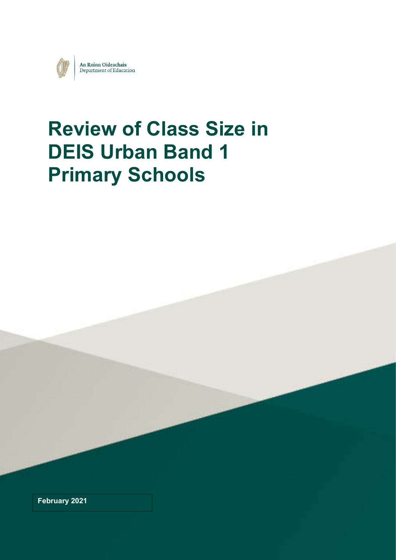

# **Review of Class Size in DEIS Urban Band 1 Primary Schools**

**February 2021**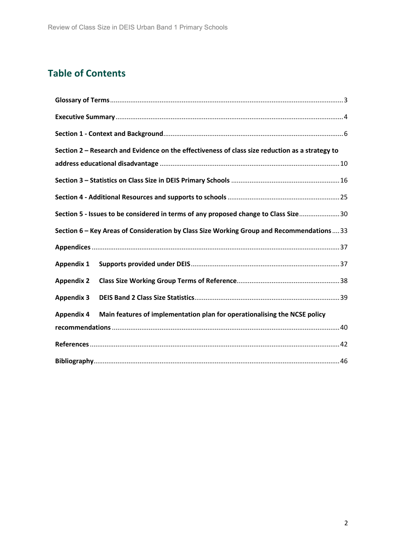# **Table of Contents**

| Section 2 - Research and Evidence on the effectiveness of class size reduction as a strategy to |  |
|-------------------------------------------------------------------------------------------------|--|
|                                                                                                 |  |
|                                                                                                 |  |
|                                                                                                 |  |
| Section 5 - Issues to be considered in terms of any proposed change to Class Size 30            |  |
| Section 6 - Key Areas of Consideration by Class Size Working Group and Recommendations  33      |  |
|                                                                                                 |  |
| <b>Appendix 1</b>                                                                               |  |
| <b>Appendix 2</b>                                                                               |  |
| <b>Appendix 3</b>                                                                               |  |
| Main features of implementation plan for operationalising the NCSE policy<br><b>Appendix 4</b>  |  |
|                                                                                                 |  |
|                                                                                                 |  |
|                                                                                                 |  |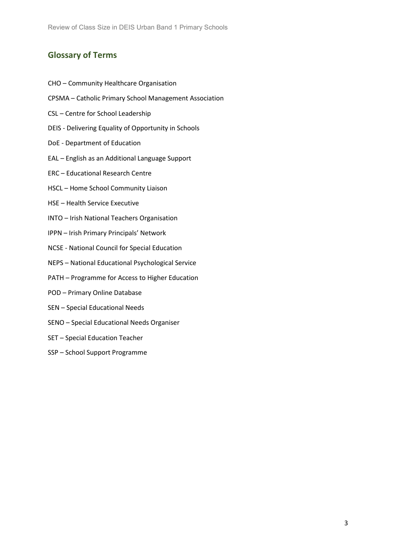# <span id="page-2-0"></span>**Glossary of Terms**

- CHO Community Healthcare Organisation
- CPSMA Catholic Primary School Management Association
- CSL Centre for School Leadership
- DEIS Delivering Equality of Opportunity in Schools
- DoE Department of Education
- EAL English as an Additional Language Support
- ERC Educational Research Centre
- HSCL Home School Community Liaison
- HSE Health Service Executive
- INTO Irish National Teachers Organisation
- IPPN Irish Primary Principals' Network
- NCSE National Council for Special Education
- NEPS National Educational Psychological Service
- PATH Programme for Access to Higher Education
- POD Primary Online Database
- SEN Special Educational Needs
- SENO Special Educational Needs Organiser
- SET Special Education Teacher
- SSP School Support Programme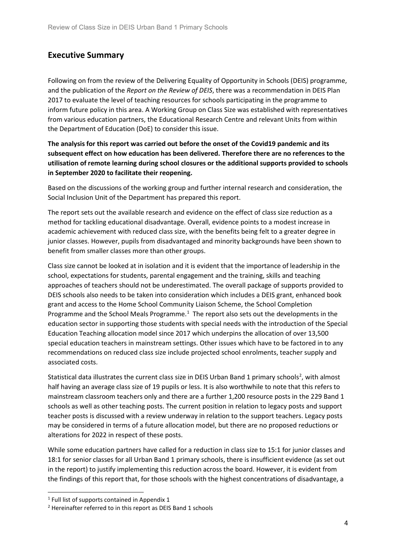# <span id="page-3-0"></span>**Executive Summary**

Following on from the review of the Delivering Equality of Opportunity in Schools (DEIS) programme, and the publication of the *Report on the Review of DEIS*, there was a recommendation in DEIS Plan 2017 to evaluate the level of teaching resources for schools participating in the programme to inform future policy in this area. A Working Group on Class Size was established with representatives from various education partners, the Educational Research Centre and relevant Units from within the Department of Education (DoE) to consider this issue.

**The analysis for this report was carried out before the onset of the Covid19 pandemic and its subsequent effect on how education has been delivered. Therefore there are no references to the utilisation of remote learning during school closures or the additional supports provided to schools in September 2020 to facilitate their reopening.**

Based on the discussions of the working group and further internal research and consideration, the Social Inclusion Unit of the Department has prepared this report.

The report sets out the available research and evidence on the effect of class size reduction as a method for tackling educational disadvantage. Overall, evidence points to a modest increase in academic achievement with reduced class size, with the benefits being felt to a greater degree in junior classes. However, pupils from disadvantaged and minority backgrounds have been shown to benefit from smaller classes more than other groups.

Class size cannot be looked at in isolation and it is evident that the importance of leadership in the school, expectations for students, parental engagement and the training, skills and teaching approaches of teachers should not be underestimated. The overall package of supports provided to DEIS schools also needs to be taken into consideration which includes a DEIS grant, enhanced book grant and access to the Home School Community Liaison Scheme, the School Completion Programme and the School Meals Programme. $1$  The report also sets out the developments in the education sector in supporting those students with special needs with the introduction of the Special Education Teaching allocation model since 2017 which underpins the allocation of over 13,500 special education teachers in mainstream settings. Other issues which have to be factored in to any recommendations on reduced class size include projected school enrolments, teacher supply and associated costs.

Statistical data illustrates the current class size in DEIS Urban Band 1 primary schools<sup>[2](#page-3-2)</sup>, with almost half having an average class size of 19 pupils or less. It is also worthwhile to note that this refers to mainstream classroom teachers only and there are a further 1,200 resource posts in the 229 Band 1 schools as well as other teaching posts. The current position in relation to legacy posts and support teacher posts is discussed with a review underway in relation to the support teachers. Legacy posts may be considered in terms of a future allocation model, but there are no proposed reductions or alterations for 2022 in respect of these posts.

While some education partners have called for a reduction in class size to 15:1 for junior classes and 18:1 for senior classes for all Urban Band 1 primary schools, there is insufficient evidence (as set out in the report) to justify implementing this reduction across the board. However, it is evident from the findings of this report that, for those schools with the highest concentrations of disadvantage, a

<span id="page-3-1"></span><sup>&</sup>lt;sup>1</sup> Full list of supports contained in Appendix 1

<span id="page-3-2"></span> $2$  Hereinafter referred to in this report as DEIS Band 1 schools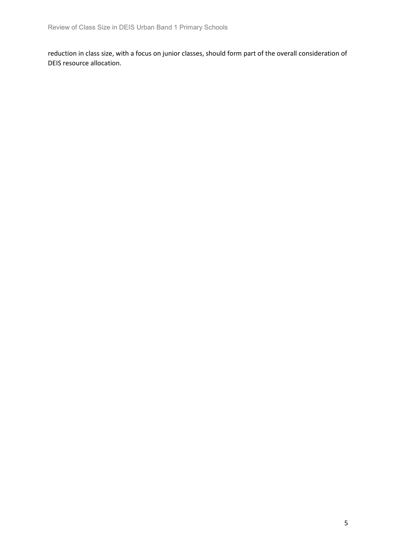reduction in class size, with a focus on junior classes, should form part of the overall consideration of DEIS resource allocation.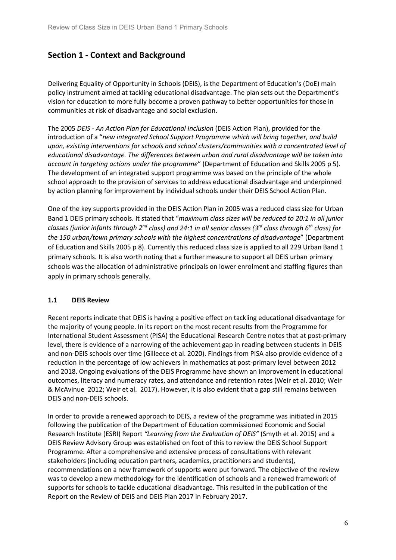# <span id="page-5-0"></span>**Section 1 - Context and Background**

Delivering Equality of Opportunity in Schools (DEIS), is the Department of Education's (DoE) main policy instrument aimed at tackling educational disadvantage. The plan sets out the Department's vision for education to more fully become a proven pathway to better opportunities for those in communities at risk of disadvantage and social exclusion.

The 2005 *DEIS - An Action Plan for Educational Inclusion* (DEIS Action Plan), provided for the introduction of a "*new integrated School Support Programme which will bring together, and build upon, existing interventions for schools and school clusters/communities with a concentrated level of educational disadvantage. The differences between urban and rural disadvantage will be taken into account in targeting actions under the programme*" (Department of Education and Skills 2005 p 5). The development of an integrated support programme was based on the principle of the whole school approach to the provision of services to address educational disadvantage and underpinned by action planning for improvement by individual schools under their DEIS School Action Plan.

One of the key supports provided in the DEIS Action Plan in 2005 was a reduced class size for Urban Band 1 DEIS primary schools. It stated that "*maximum class sizes will be reduced to 20:1 in all junior classes (junior infants through 2nd class) and 24:1 in all senior classes (3rd class through 6th class) for the 150 urban/town primary schools with the highest concentrations of disadvantage*" (Department of Education and Skills 2005 p 8). Currently this reduced class size is applied to all 229 Urban Band 1 primary schools. It is also worth noting that a further measure to support all DEIS urban primary schools was the allocation of administrative principals on lower enrolment and staffing figures than apply in primary schools generally.

### **1.1 DEIS Review**

Recent reports indicate that DEIS is having a positive effect on tackling educational disadvantage for the majority of young people. In its report on the most recent results from the Programme for International Student Assessment (PISA) the Educational Research Centre notes that at post-primary level, there is evidence of a narrowing of the achievement gap in reading between students in DEIS and non-DEIS schools over time (Gilleece et al. 2020). Findings from PISA also provide evidence of a reduction in the percentage of low achievers in mathematics at post-primary level between 2012 and 2018. Ongoing evaluations of the DEIS Programme have shown an improvement in educational outcomes, literacy and numeracy rates, and attendance and retention rates (Weir et al. 2010; Weir & McAvinue 2012; Weir et al. 2017). However, it is also evident that a gap still remains between DEIS and non-DEIS schools.

In order to provide a renewed approach to DEIS, a review of the programme was initiated in 2015 following the publication of the Department of Education commissioned Economic and Social Research Institute (ESRI) Report *"Learning from the Evaluation of DEIS"* (Smyth et al. 2015) and a DEIS Review Advisory Group was established on foot of this to review the DEIS School Support Programme. After a comprehensive and extensive process of consultations with relevant stakeholders (including education partners, academics, practitioners and students), recommendations on a new framework of supports were put forward. The objective of the review was to develop a new methodology for the identification of schools and a renewed framework of supports for schools to tackle educational disadvantage. This resulted in the publication of the Report on the Review of DEIS and DEIS Plan 2017 in February 2017.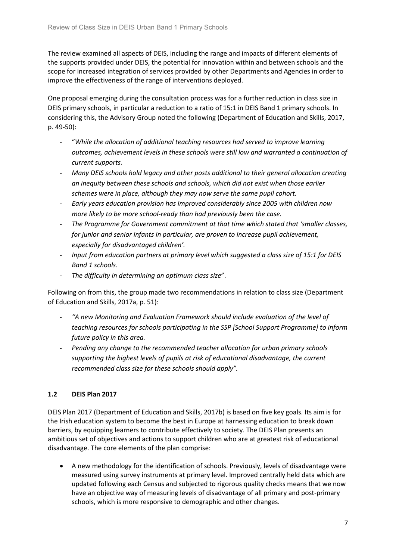The review examined all aspects of DEIS, including the range and impacts of different elements of the supports provided under DEIS, the potential for innovation within and between schools and the scope for increased integration of services provided by other Departments and Agencies in order to improve the effectiveness of the range of interventions deployed.

One proposal emerging during the consultation process was for a further reduction in class size in DEIS primary schools, in particular a reduction to a ratio of 15:1 in DEIS Band 1 primary schools. In considering this, the Advisory Group noted the following (Department of Education and Skills, 2017, p. 49-50):

- "*While the allocation of additional teaching resources had served to improve learning outcomes, achievement levels in these schools were still low and warranted a continuation of current supports.*
- *Many DEIS schools hold legacy and other posts additional to their general allocation creating an inequity between these schools and schools, which did not exist when those earlier schemes were in place, although they may now serve the same pupil cohort.*
- *Early years education provision has improved considerably since 2005 with children now more likely to be more school-ready than had previously been the case.*
- *The Programme for Government commitment at that time which stated that 'smaller classes, for junior and senior infants in particular, are proven to increase pupil achievement, especially for disadvantaged children'.*
- *Input from education partners at primary level which suggested a class size of 15:1 for DEIS Band 1 schools.*
- *The difficulty in determining an optimum class size*".

Following on from this, the group made two recommendations in relation to class size (Department of Education and Skills, 2017a, p. 51):

- *"A new Monitoring and Evaluation Framework should include evaluation of the level of teaching resources for schools participating in the SSP [School Support Programme] to inform future policy in this area.*
- *Pending any change to the recommended teacher allocation for urban primary schools supporting the highest levels of pupils at risk of educational disadvantage, the current recommended class size for these schools should apply".*

### **1.2 DEIS Plan 2017**

DEIS Plan 2017 (Department of Education and Skills, 2017b) is based on five key goals. Its aim is for the Irish education system to become the best in Europe at harnessing education to break down barriers, by equipping learners to contribute effectively to society. The DEIS Plan presents an ambitious set of objectives and actions to support children who are at greatest risk of educational disadvantage. The core elements of the plan comprise:

• A new methodology for the identification of schools. Previously, levels of disadvantage were measured using survey instruments at primary level. Improved centrally held data which are updated following each Census and subjected to rigorous quality checks means that we now have an objective way of measuring levels of disadvantage of all primary and post-primary schools, which is more responsive to demographic and other changes.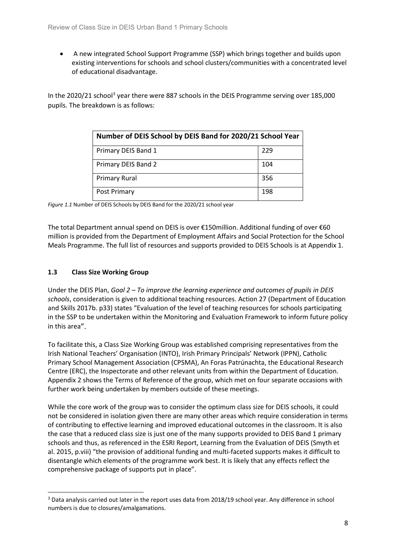• A new integrated School Support Programme (SSP) which brings together and builds upon existing interventions for schools and school clusters/communities with a concentrated level of educational disadvantage.

In the 2020/21 school<sup>[3](#page-7-0)</sup> year there were 887 schools in the DEIS Programme serving over 185,000 pupils. The breakdown is as follows:

| Number of DEIS School by DEIS Band for 2020/21 School Year |     |  |
|------------------------------------------------------------|-----|--|
| Primary DEIS Band 1                                        | 229 |  |
| Primary DEIS Band 2                                        | 104 |  |
| <b>Primary Rural</b>                                       | 356 |  |
| Post Primary                                               | 198 |  |

*Figure 1.1* Number of DEIS Schools by DEIS Band for the 2020/21 school year

The total Department annual spend on DEIS is over €150million. Additional funding of over €60 million is provided from the Department of Employment Affairs and Social Protection for the School Meals Programme. The full list of resources and supports provided to DEIS Schools is at Appendix 1.

### **1.3 Class Size Working Group**

Under the DEIS Plan, *Goal 2 – To improve the learning experience and outcomes of pupils in DEIS schools*, consideration is given to additional teaching resources. Action 27 (Department of Education and Skills 2017b. p33) states "Evaluation of the level of teaching resources for schools participating in the SSP to be undertaken within the Monitoring and Evaluation Framework to inform future policy in this area".

To facilitate this, a Class Size Working Group was established comprising representatives from the Irish National Teachers' Organisation (INTO), Irish Primary Principals' Network (IPPN), Catholic Primary School Management Association (CPSMA), An Foras Patrúnachta, the Educational Research Centre (ERC), the Inspectorate and other relevant units from within the Department of Education. Appendix 2 shows the Terms of Reference of the group, which met on four separate occasions with further work being undertaken by members outside of these meetings.

While the core work of the group was to consider the optimum class size for DEIS schools, it could not be considered in isolation given there are many other areas which require consideration in terms of contributing to effective learning and improved educational outcomes in the classroom. It is also the case that a reduced class size is just one of the many supports provided to DEIS Band 1 primary schools and thus, as referenced in the ESRI Report, Learning from the Evaluation of DEIS (Smyth et al. 2015, p.viii) "the provision of additional funding and multi-faceted supports makes it difficult to disentangle which elements of the programme work best. It is likely that any effects reflect the comprehensive package of supports put in place".

<span id="page-7-0"></span> <sup>3</sup> Data analysis carried out later in the report uses data from 2018/19 school year. Any difference in school numbers is due to closures/amalgamations.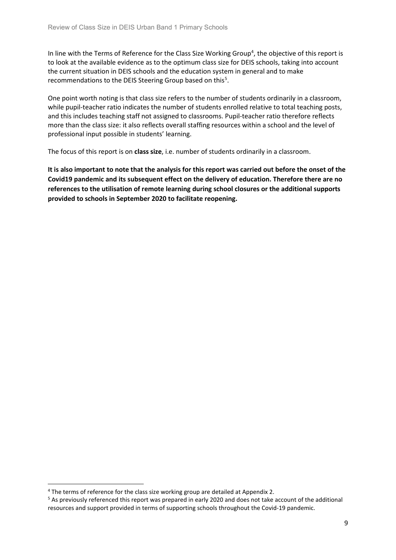In line with the Terms of Reference for the Class Size Working Group<sup>[4](#page-8-0)</sup>, the objective of this report is to look at the available evidence as to the optimum class size for DEIS schools, taking into account the current situation in DEIS schools and the education system in general and to make recommendations to the DEIS Steering Group based on this<sup>[5](#page-8-1)</sup>.

One point worth noting is that class size refers to the number of students ordinarily in a classroom, while pupil-teacher ratio indicates the number of students enrolled relative to total teaching posts, and this includes teaching staff not assigned to classrooms. Pupil-teacher ratio therefore reflects more than the class size: it also reflects overall staffing resources within a school and the level of professional input possible in students' learning.

The focus of this report is on **class size**, i.e. number of students ordinarily in a classroom.

**It is also important to note that the analysis for this report was carried out before the onset of the Covid19 pandemic and its subsequent effect on the delivery of education. Therefore there are no references to the utilisation of remote learning during school closures or the additional supports provided to schools in September 2020 to facilitate reopening.**

<span id="page-8-0"></span><sup>&</sup>lt;sup>4</sup> The terms of reference for the class size working group are detailed at Appendix 2.

<span id="page-8-1"></span><sup>5</sup> As previously referenced this report was prepared in early 2020 and does not take account of the additional resources and support provided in terms of supporting schools throughout the Covid-19 pandemic.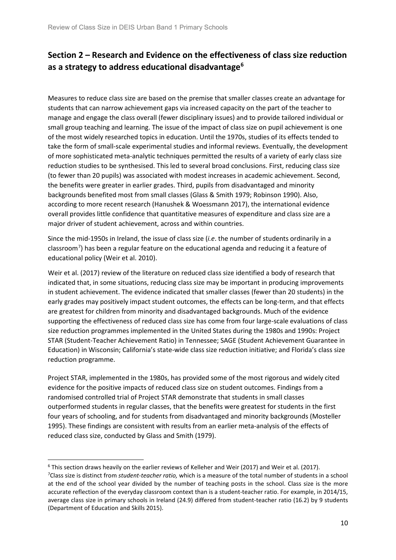# <span id="page-9-0"></span>**Section 2 – Research and Evidence on the effectiveness of class size reduction as a strategy to address educational disadvantage[6](#page-9-1)**

Measures to reduce class size are based on the premise that smaller classes create an advantage for students that can narrow achievement gaps via increased capacity on the part of the teacher to manage and engage the class overall (fewer disciplinary issues) and to provide tailored individual or small group teaching and learning. The issue of the impact of class size on pupil achievement is one of the most widely researched topics in education. Until the 1970s, studies of its effects tended to take the form of small-scale experimental studies and informal reviews. Eventually, the development of more sophisticated meta-analytic techniques permitted the results of a variety of early class size reduction studies to be synthesised. This led to several broad conclusions. First, reducing class size (to fewer than 20 pupils) was associated with modest increases in academic achievement. Second, the benefits were greater in earlier grades. Third, pupils from disadvantaged and minority backgrounds benefited most from small classes (Glass & Smith 1979; Robinson 1990). Also, according to more recent research (Hanushek & Woessmann 2017), the international evidence overall provides little confidence that quantitative measures of expenditure and class size are a major driver of student achievement, across and within countries.

Since the mid-1950s in Ireland, the issue of class size (*i.e*. the number of students ordinarily in a classroom<sup>[7](#page-9-2)</sup>) has been a regular feature on the educational agenda and reducing it a feature of educational policy (Weir et al. 2010).

Weir et al. (2017) review of the literature on reduced class size identified a body of research that indicated that, in some situations, reducing class size may be important in producing improvements in student achievement. The evidence indicated that smaller classes (fewer than 20 students) in the early grades may positively impact student outcomes, the effects can be long-term, and that effects are greatest for children from minority and disadvantaged backgrounds. Much of the evidence supporting the effectiveness of reduced class size has come from four large-scale evaluations of class size reduction programmes implemented in the United States during the 1980s and 1990s: Project STAR (Student-Teacher Achievement Ratio) in Tennessee; SAGE (Student Achievement Guarantee in Education) in Wisconsin; California's state-wide class size reduction initiative; and Florida's class size reduction programme.

Project STAR, implemented in the 1980s, has provided some of the most rigorous and widely cited evidence for the positive impacts of reduced class size on student outcomes. Findings from a randomised controlled trial of Project STAR demonstrate that students in small classes outperformed students in regular classes, that the benefits were greatest for students in the first four years of schooling, and for students from disadvantaged and minority backgrounds (Mosteller 1995). These findings are consistent with results from an earlier meta-analysis of the effects of reduced class size, conducted by Glass and Smith (1979).

<span id="page-9-2"></span><span id="page-9-1"></span><sup>&</sup>lt;sup>6</sup> This section draws heavily on the earlier reviews of Kelleher and Weir (2017) and Weir et al. (2017). 7 Class size is distinct from *student-teacher ratio,* which is a measure of the total number of students in a school at the end of the school year divided by the number of teaching posts in the school. Class size is the more accurate reflection of the everyday classroom context than is a student-teacher ratio. For example, in 2014/15, average class size in primary schools in Ireland (24.9) differed from student-teacher ratio (16.2) by 9 students (Department of Education and Skills 2015).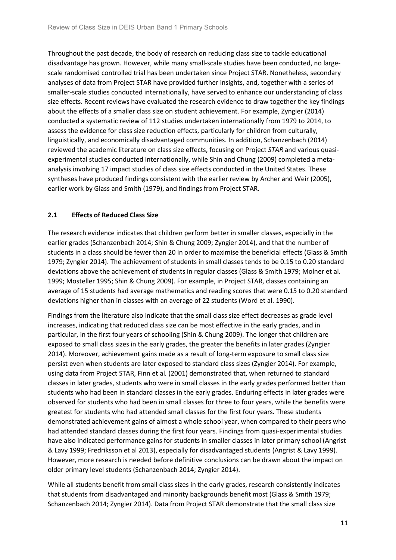Throughout the past decade, the body of research on reducing class size to tackle educational disadvantage has grown. However, while many small-scale studies have been conducted, no largescale randomised controlled trial has been undertaken since Project STAR. Nonetheless, secondary analyses of data from Project STAR have provided further insights, and, together with a series of smaller-scale studies conducted internationally, have served to enhance our understanding of class size effects. Recent reviews have evaluated the research evidence to draw together the key findings about the effects of a smaller class size on student achievement. For example, Zyngier (2014) conducted a systematic review of 112 studies undertaken internationally from 1979 to 2014, to assess the evidence for class size reduction effects, particularly for children from culturally, linguistically, and economically disadvantaged communities. In addition, Schanzenbach (2014) reviewed the academic literature on class size effects, focusing on Project *STAR* and various quasiexperimental studies conducted internationally, while Shin and Chung (2009) completed a metaanalysis involving 17 impact studies of class size effects conducted in the United States. These syntheses have produced findings consistent with the earlier review by Archer and Weir (2005), earlier work by Glass and Smith (1979), and findings from Project STAR.

### **2.1 Effects of Reduced Class Size**

The research evidence indicates that children perform better in smaller classes, especially in the earlier grades (Schanzenbach 2014; Shin & Chung 2009; Zyngier 2014), and that the number of students in a class should be fewer than 20 in order to maximise the beneficial effects (Glass & Smith 1979; Zyngier 2014). The achievement of students in small classes tends to be 0.15 to 0.20 standard deviations above the achievement of students in regular classes (Glass & Smith 1979; Molner et al*.* 1999; Mosteller 1995; Shin & Chung 2009). For example, in Project STAR, classes containing an average of 15 students had average mathematics and reading scores that were 0.15 to 0.20 standard deviations higher than in classes with an average of 22 students (Word et al. 1990).

Findings from the literature also indicate that the small class size effect decreases as grade level increases, indicating that reduced class size can be most effective in the early grades, and in particular, in the first four years of schooling (Shin & Chung 2009). The longer that children are exposed to small class sizes in the early grades, the greater the benefits in later grades (Zyngier 2014). Moreover, achievement gains made as a result of long-term exposure to small class size persist even when students are later exposed to standard class sizes (Zyngier 2014). For example, using data from Project STAR, Finn et al*.* (2001) demonstrated that, when returned to standard classes in later grades, students who were in small classes in the early grades performed better than students who had been in standard classes in the early grades. Enduring effects in later grades were observed for students who had been in small classes for three to four years, while the benefits were greatest for students who had attended small classes for the first four years. These students demonstrated achievement gains of almost a whole school year, when compared to their peers who had attended standard classes during the first four years. Findings from quasi-experimental studies have also indicated performance gains for students in smaller classes in later primary school (Angrist & Lavy 1999; Fredriksson et al 2013), especially for disadvantaged students (Angrist & Lavy 1999). However, more research is needed before definitive conclusions can be drawn about the impact on older primary level students (Schanzenbach 2014; Zyngier 2014).

While all students benefit from small class sizes in the early grades, research consistently indicates that students from disadvantaged and minority backgrounds benefit most (Glass & Smith 1979; Schanzenbach 2014; Zyngier 2014). Data from Project STAR demonstrate that the small class size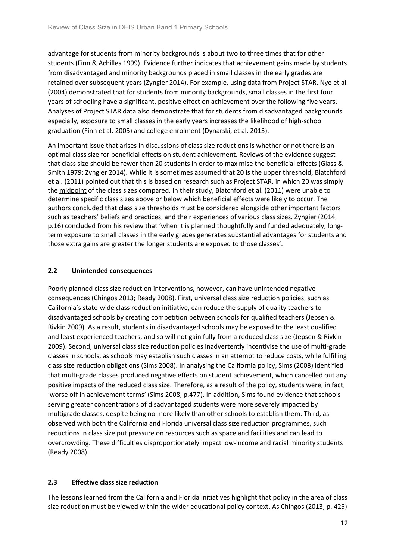advantage for students from minority backgrounds is about two to three times that for other students (Finn & Achilles 1999). Evidence further indicates that achievement gains made by students from disadvantaged and minority backgrounds placed in small classes in the early grades are retained over subsequent years (Zyngier 2014). For example, using data from Project STAR, Nye et al. (2004) demonstrated that for students from minority backgrounds, small classes in the first four years of schooling have a significant, positive effect on achievement over the following five years. Analyses of Project STAR data also demonstrate that for students from disadvantaged backgrounds especially, exposure to small classes in the early years increases the likelihood of high-school graduation (Finn et al. 2005) and college enrolment (Dynarski, et al. 2013).

An important issue that arises in discussions of class size reductions is whether or not there is an optimal class size for beneficial effects on student achievement. Reviews of the evidence suggest that class size should be fewer than 20 students in order to maximise the beneficial effects (Glass & Smith 1979; Zyngier 2014). While it is sometimes assumed that 20 is the upper threshold, Blatchford et al. (2011) pointed out that this is based on research such as Project STAR, in which 20 was simply the midpoint of the class sizes compared. In their study, Blatchford et al. (2011) were unable to determine specific class sizes above or below which beneficial effects were likely to occur. The authors concluded that class size thresholds must be considered alongside other important factors such as teachers' beliefs and practices, and their experiences of various class sizes. Zyngier (2014, p.16) concluded from his review that 'when it is planned thoughtfully and funded adequately, longterm exposure to small classes in the early grades generates substantial advantages for students and those extra gains are greater the longer students are exposed to those classes'.

### **2.2 Unintended consequences**

Poorly planned class size reduction interventions, however, can have unintended negative consequences (Chingos 2013; Ready 2008). First, universal class size reduction policies, such as California's state-wide class reduction initiative, can reduce the supply of quality teachers to disadvantaged schools by creating competition between schools for qualified teachers (Jepsen & Rivkin 2009). As a result, students in disadvantaged schools may be exposed to the least qualified and least experienced teachers, and so will not gain fully from a reduced class size (Jepsen & Rivkin 2009). Second, universal class size reduction policies inadvertently incentivise the use of multi-grade classes in schools, as schools may establish such classes in an attempt to reduce costs, while fulfilling class size reduction obligations (Sims 2008). In analysing the California policy, Sims (2008) identified that multi-grade classes produced negative effects on student achievement, which cancelled out any positive impacts of the reduced class size. Therefore, as a result of the policy, students were, in fact, 'worse off in achievement terms' (Sims 2008, p.477). In addition, Sims found evidence that schools serving greater concentrations of disadvantaged students were more severely impacted by multigrade classes, despite being no more likely than other schools to establish them. Third, as observed with both the California and Florida universal class size reduction programmes, such reductions in class size put pressure on resources such as space and facilities and can lead to overcrowding. These difficulties disproportionately impact low-income and racial minority students (Ready 2008).

### **2.3 Effective class size reduction**

The lessons learned from the California and Florida initiatives highlight that policy in the area of class size reduction must be viewed within the wider educational policy context. As Chingos (2013, p. 425)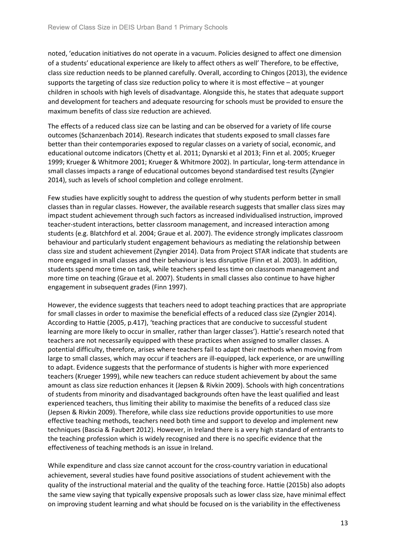noted, 'education initiatives do not operate in a vacuum. Policies designed to affect one dimension of a students' educational experience are likely to affect others as well' Therefore, to be effective, class size reduction needs to be planned carefully. Overall, according to Chingos (2013), the evidence supports the targeting of class size reduction policy to where it is most effective – at younger children in schools with high levels of disadvantage. Alongside this, he states that adequate support and development for teachers and adequate resourcing for schools must be provided to ensure the maximum benefits of class size reduction are achieved.

The effects of a reduced class size can be lasting and can be observed for a variety of life course outcomes (Schanzenbach 2014). Research indicates that students exposed to small classes fare better than their contemporaries exposed to regular classes on a variety of social, economic, and educational outcome indicators (Chetty et al. 2011; Dynarski et al 2013; Finn et al. 2005; Krueger 1999; Krueger & Whitmore 2001; Krueger & Whitmore 2002). In particular, long-term attendance in small classes impacts a range of educational outcomes beyond standardised test results (Zyngier 2014), such as levels of school completion and college enrolment.

Few studies have explicitly sought to address the question of why students perform better in small classes than in regular classes. However, the available research suggests that smaller class sizes may impact student achievement through such factors as increased individualised instruction, improved teacher-student interactions, better classroom management, and increased interaction among students (e.g. Blatchford et al. 2004; Graue et al. 2007). The evidence strongly implicates classroom behaviour and particularly student engagement behaviours as mediating the relationship between class size and student achievement (Zyngier 2014). Data from Project STAR indicate that students are more engaged in small classes and their behaviour is less disruptive (Finn et al. 2003). In addition, students spend more time on task, while teachers spend less time on classroom management and more time on teaching (Graue et al. 2007). Students in small classes also continue to have higher engagement in subsequent grades (Finn 1997).

However, the evidence suggests that teachers need to adopt teaching practices that are appropriate for small classes in order to maximise the beneficial effects of a reduced class size (Zyngier 2014). According to Hattie (2005, p.417), 'teaching practices that are conducive to successful student learning are more likely to occur in smaller, rather than larger classes'). Hattie's research noted that teachers are not necessarily equipped with these practices when assigned to smaller classes. A potential difficulty, therefore, arises where teachers fail to adapt their methods when moving from large to small classes, which may occur if teachers are ill-equipped, lack experience, or are unwilling to adapt. Evidence suggests that the performance of students is higher with more experienced teachers (Krueger 1999), while new teachers can reduce student achievement by about the same amount as class size reduction enhances it (Jepsen & Rivkin 2009). Schools with high concentrations of students from minority and disadvantaged backgrounds often have the least qualified and least experienced teachers, thus limiting their ability to maximise the benefits of a reduced class size (Jepsen & Rivkin 2009). Therefore, while class size reductions provide opportunities to use more effective teaching methods, teachers need both time and support to develop and implement new techniques (Bascia & Faubert 2012). However, in Ireland there is a very high standard of entrants to the teaching profession which is widely recognised and there is no specific evidence that the effectiveness of teaching methods is an issue in Ireland.

While expenditure and class size cannot account for the cross-country variation in educational achievement, several studies have found positive associations of student achievement with the quality of the instructional material and the quality of the teaching force. Hattie (2015b) also adopts the same view saying that typically expensive proposals such as lower class size, have minimal effect on improving student learning and what should be focused on is the variability in the effectiveness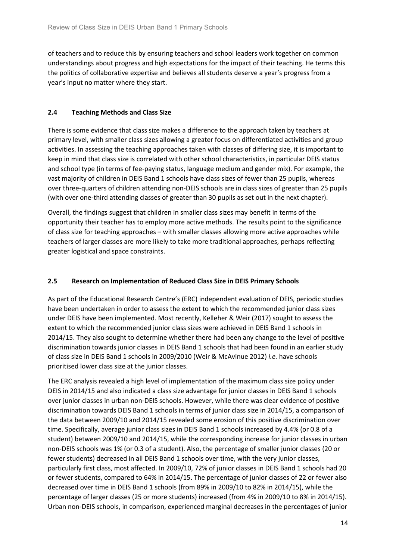of teachers and to reduce this by ensuring teachers and school leaders work together on common understandings about progress and high expectations for the impact of their teaching. He terms this the politics of collaborative expertise and believes all students deserve a year's progress from a year's input no matter where they start.

### **2.4 Teaching Methods and Class Size**

There is some evidence that class size makes a difference to the approach taken by teachers at primary level, with smaller class sizes allowing a greater focus on differentiated activities and group activities. In assessing the teaching approaches taken with classes of differing size, it is important to keep in mind that class size is correlated with other school characteristics, in particular DEIS status and school type (in terms of fee-paying status, language medium and gender mix). For example, the vast majority of children in DEIS Band 1 schools have class sizes of fewer than 25 pupils, whereas over three-quarters of children attending non-DEIS schools are in class sizes of greater than 25 pupils (with over one-third attending classes of greater than 30 pupils as set out in the next chapter).

Overall, the findings suggest that children in smaller class sizes may benefit in terms of the opportunity their teacher has to employ more active methods. The results point to the significance of class size for teaching approaches – with smaller classes allowing more active approaches while teachers of larger classes are more likely to take more traditional approaches, perhaps reflecting greater logistical and space constraints.

### **2.5 Research on Implementation of Reduced Class Size in DEIS Primary Schools**

As part of the Educational Research Centre's (ERC) independent evaluation of DEIS, periodic studies have been undertaken in order to assess the extent to which the recommended junior class sizes under DEIS have been implemented. Most recently, Kelleher & Weir (2017) sought to assess the extent to which the recommended junior class sizes were achieved in DEIS Band 1 schools in 2014/15. They also sought to determine whether there had been any change to the level of positive discrimination towards junior classes in DEIS Band 1 schools that had been found in an earlier study of class size in DEIS Band 1 schools in 2009/2010 (Weir & McAvinue 2012) *i.e.* have schools prioritised lower class size at the junior classes.

The ERC analysis revealed a high level of implementation of the maximum class size policy under DEIS in 2014/15 and also indicated a class size advantage for junior classes in DEIS Band 1 schools over junior classes in urban non-DEIS schools. However, while there was clear evidence of positive discrimination towards DEIS Band 1 schools in terms of junior class size in 2014/15, a comparison of the data between 2009/10 and 2014/15 revealed some erosion of this positive discrimination over time. Specifically, average junior class sizes in DEIS Band 1 schools increased by 4.4% (or 0.8 of a student) between 2009/10 and 2014/15, while the corresponding increase for junior classes in urban non-DEIS schools was 1% (or 0.3 of a student). Also, the percentage of smaller junior classes (20 or fewer students) decreased in all DEIS Band 1 schools over time, with the very junior classes, particularly first class, most affected. In 2009/10, 72% of junior classes in DEIS Band 1 schools had 20 or fewer students, compared to 64% in 2014/15. The percentage of junior classes of 22 or fewer also decreased over time in DEIS Band 1 schools (from 89% in 2009/10 to 82% in 2014/15), while the percentage of larger classes (25 or more students) increased (from 4% in 2009/10 to 8% in 2014/15). Urban non-DEIS schools, in comparison, experienced marginal decreases in the percentages of junior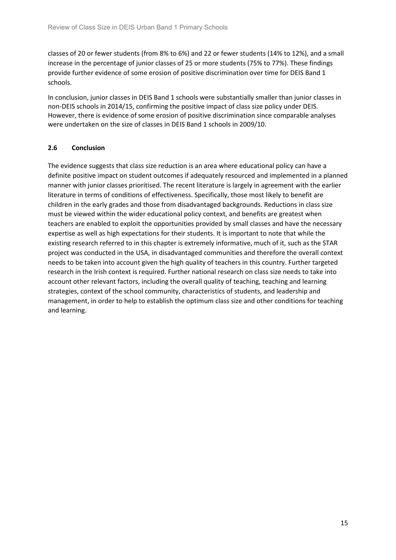classes of 20 or fewer students (from 8% to 6%) and 22 or fewer students (14% to 12%), and a small increase in the percentage of junior classes of 25 or more students (75% to 77%). These findings provide further evidence of some erosion of positive discrimination over time for DEIS Band 1 schools.

In conclusion, junior classes in DEIS Band 1 schools were substantially smaller than junior classes in non-DEIS schools in 2014/15, confirming the positive impact of class size policy under DEIS. However, there is evidence of some erosion of positive discrimination since comparable analyses were undertaken on the size of classes in DEIS Band 1 schools in 2009/10.

### **2.6 Conclusion**

The evidence suggests that class size reduction is an area where educational policy can have a definite positive impact on student outcomes if adequately resourced and implemented in a planned manner with junior classes prioritised. The recent literature is largely in agreement with the earlier literature in terms of conditions of effectiveness. Specifically, those most likely to benefit are children in the early grades and those from disadvantaged backgrounds. Reductions in class size must be viewed within the wider educational policy context, and benefits are greatest when teachers are enabled to exploit the opportunities provided by small classes and have the necessary expertise as well as high expectations for their students. It is important to note that while the existing research referred to in this chapter is extremely informative, much of it, such as the STAR project was conducted in the USA, in disadvantaged communities and therefore the overall context needs to be taken into account given the high quality of teachers in this country. Further targeted research in the Irish context is required. Further national research on class size needs to take into account other relevant factors, including the overall quality of teaching, teaching and learning strategies, context of the school community, characteristics of students, and leadership and management, in order to help to establish the optimum class size and other conditions for teaching and learning.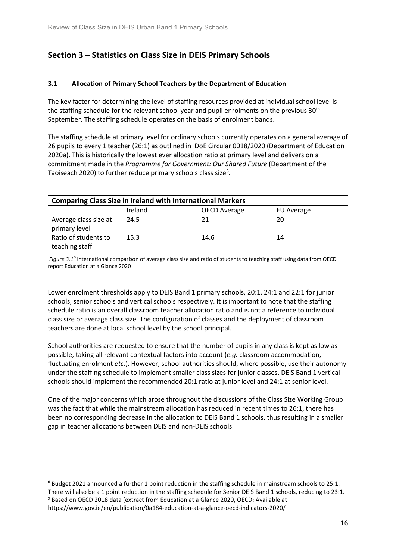# <span id="page-15-0"></span>**Section 3 – Statistics on Class Size in DEIS Primary Schools**

### **3.1 Allocation of Primary School Teachers by the Department of Education**

The key factor for determining the level of staffing resources provided at individual school level is the staffing schedule for the relevant school year and pupil enrolments on the previous  $30<sup>th</sup>$ September. The staffing schedule operates on the basis of enrolment bands.

The staffing schedule at primary level for ordinary schools currently operates on a general average of 26 pupils to every 1 teacher (26:1) as outlined in DoE Circular 0018/2020 (Department of Education 2020a). This is historically the lowest ever allocation ratio at primary level and delivers on a commitment made in the *Programme for Government: Our Shared Future* (Department of the Taoiseach 2020) to further reduce primary schools class size<sup>8</sup>.

| <b>Comparing Class Size in Ireland with International Markers</b> |         |                     |            |
|-------------------------------------------------------------------|---------|---------------------|------------|
|                                                                   | Ireland | <b>OECD Average</b> | EU Average |
| Average class size at<br>primary level                            | 24.5    | 21                  | 20         |
| Ratio of students to<br>teaching staff                            | 15.3    | 14.6                | 14         |

*Figure 3.1[9](#page-15-2)* International comparison of average class size and ratio of students to teaching staff using data from OECD report Education at a Glance 2020

Lower enrolment thresholds apply to DEIS Band 1 primary schools, 20:1, 24:1 and 22:1 for junior schools, senior schools and vertical schools respectively. It is important to note that the staffing schedule ratio is an overall classroom teacher allocation ratio and is not a reference to individual class size or average class size. The configuration of classes and the deployment of classroom teachers are done at local school level by the school principal.

School authorities are requested to ensure that the number of pupils in any class is kept as low as possible, taking all relevant contextual factors into account (*e.g.* classroom accommodation, fluctuating enrolment *etc.*). However, school authorities should, where possible, use their autonomy under the staffing schedule to implement smaller class sizes for junior classes. DEIS Band 1 vertical schools should implement the recommended 20:1 ratio at junior level and 24:1 at senior level.

One of the major concerns which arose throughout the discussions of the Class Size Working Group was the fact that while the mainstream allocation has reduced in recent times to 26:1, there has been no corresponding decrease in the allocation to DEIS Band 1 schools, thus resulting in a smaller gap in teacher allocations between DEIS and non-DEIS schools.

There will also be a 1 point reduction in the staffing schedule for Senior DEIS Band 1 schools, reducing to 23:1.

<span id="page-15-1"></span><sup>&</sup>lt;sup>8</sup> Budget 2021 announced a further 1 point reduction in the staffing schedule in mainstream schools to 25:1.

<span id="page-15-2"></span><sup>&</sup>lt;sup>9</sup> Based on OECD 2018 data (extract from Education at a Glance 2020, OECD: Available at https://www.gov.ie/en/publication/0a184-education-at-a-glance-oecd-indicators-2020/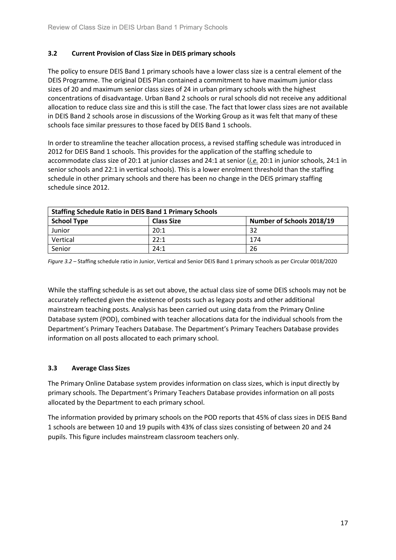### **3.2 Current Provision of Class Size in DEIS primary schools**

The policy to ensure DEIS Band 1 primary schools have a lower class size is a central element of the DEIS Programme. The original DEIS Plan contained a commitment to have maximum junior class sizes of 20 and maximum senior class sizes of 24 in urban primary schools with the highest concentrations of disadvantage. Urban Band 2 schools or rural schools did not receive any additional allocation to reduce class size and this is still the case. The fact that lower class sizes are not available in DEIS Band 2 schools arose in discussions of the Working Group as it was felt that many of these schools face similar pressures to those faced by DEIS Band 1 schools.

In order to streamline the teacher allocation process, a revised staffing schedule was introduced in 2012 for DEIS Band 1 schools. This provides for the application of the staffing schedule to accommodate class size of 20:1 at junior classes and 24:1 at senior (*i.e.* 20:1 in junior schools, 24:1 in senior schools and 22:1 in vertical schools). This is a lower enrolment threshold than the staffing schedule in other primary schools and there has been no change in the DEIS primary staffing schedule since 2012.

| <b>Staffing Schedule Ratio in DEIS Band 1 Primary Schools</b> |                   |                           |  |
|---------------------------------------------------------------|-------------------|---------------------------|--|
| <b>School Type</b>                                            | <b>Class Size</b> | Number of Schools 2018/19 |  |
| Junior                                                        | 20:1              | 32                        |  |
| Vertical                                                      | 22:1              | 174                       |  |
| Senior                                                        | 24:1              | 26                        |  |

*Figure 3.2 –* Staffing schedule ratio in Junior, Vertical and Senior DEIS Band 1 primary schools as per Circular 0018/2020

While the staffing schedule is as set out above, the actual class size of some DEIS schools may not be accurately reflected given the existence of posts such as legacy posts and other additional mainstream teaching posts*.* Analysis has been carried out using data from the Primary Online Database system (POD), combined with teacher allocations data for the individual schools from the Department's Primary Teachers Database. The Department's Primary Teachers Database provides information on all posts allocated to each primary school.

### **3.3 Average Class Sizes**

The Primary Online Database system provides information on class sizes, which is input directly by primary schools. The Department's Primary Teachers Database provides information on all posts allocated by the Department to each primary school.

The information provided by primary schools on the POD reports that 45% of class sizes in DEIS Band 1 schools are between 10 and 19 pupils with 43% of class sizes consisting of between 20 and 24 pupils. This figure includes mainstream classroom teachers only.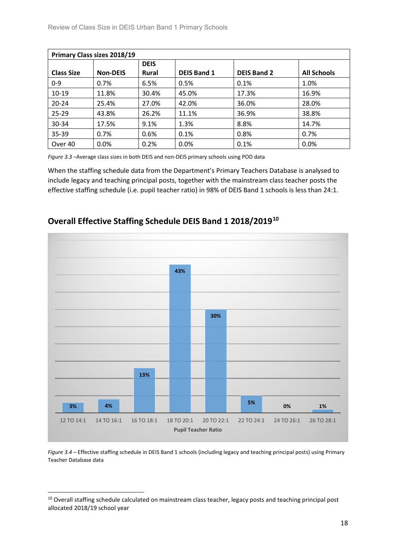| <b>Primary Class sizes 2018/19</b> |                 |              |                    |                    |                    |
|------------------------------------|-----------------|--------------|--------------------|--------------------|--------------------|
|                                    |                 | <b>DEIS</b>  |                    |                    |                    |
| <b>Class Size</b>                  | <b>Non-DEIS</b> | <b>Rural</b> | <b>DEIS Band 1</b> | <b>DEIS Band 2</b> | <b>All Schools</b> |
| $0 - 9$                            | 0.7%            | 6.5%         | 0.5%               | 0.1%               | 1.0%               |
| $10 - 19$                          | 11.8%           | 30.4%        | 45.0%              | 17.3%              | 16.9%              |
| $20 - 24$                          | 25.4%           | 27.0%        | 42.0%              | 36.0%              | 28.0%              |
| $25 - 29$                          | 43.8%           | 26.2%        | 11.1%              | 36.9%              | 38.8%              |
| 30-34                              | 17.5%           | 9.1%         | 1.3%               | 8.8%               | 14.7%              |
| 35-39                              | 0.7%            | 0.6%         | 0.1%               | 0.8%               | 0.7%               |
| Over 40                            | 0.0%            | 0.2%         | 0.0%               | 0.1%               | 0.0%               |

*Figure 3.3 –*Average class sizes in both DEIS and non-DEIS primary schools using POD data

When the staffing schedule data from the Department's Primary Teachers Database is analysed to include legacy and teaching principal posts, together with the mainstream class teacher posts the effective staffing schedule (i.e. pupil teacher ratio) in 98% of DEIS Band 1 schools is less than 24:1.



**Overall Effective Staffing Schedule DEIS Band 1 2018/2019[10](#page-17-0)**

*Figure 3.4 –* Effective staffing schedule in DEIS Band 1 schools (including legacy and teaching principal posts) using Primary Teacher Database data

<span id="page-17-0"></span><sup>&</sup>lt;sup>10</sup> Overall staffing schedule calculated on mainstream class teacher, legacy posts and teaching principal post allocated 2018/19 school year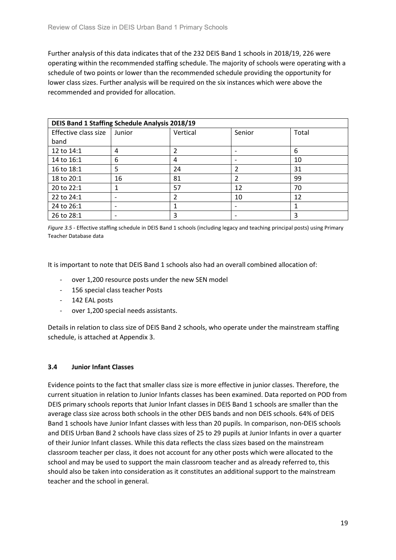Further analysis of this data indicates that of the 232 DEIS Band 1 schools in 2018/19, 226 were operating within the recommended staffing schedule. The majority of schools were operating with a schedule of two points or lower than the recommended schedule providing the opportunity for lower class sizes. Further analysis will be required on the six instances which were above the recommended and provided for allocation.

| <b>DEIS Band 1 Staffing Schedule Analysis 2018/19</b> |        |          |                |       |
|-------------------------------------------------------|--------|----------|----------------|-------|
| Effective class size                                  | Junior | Vertical | Senior         | Total |
| band                                                  |        |          |                |       |
| 12 to 14:1                                            | 4      |          |                | 6     |
| 14 to 16:1                                            | 6      | 4        |                | 10    |
| 16 to 18:1                                            | 5      | 24       |                | 31    |
| 18 to 20:1                                            | 16     | 81       | $\mathfrak{p}$ | 99    |
| 20 to 22:1                                            |        | 57       | 12             | 70    |
| 22 to 24:1                                            |        | 2        | 10             | 12    |
| 24 to 26:1                                            |        |          |                |       |
| 26 to 28:1                                            |        | 3        |                | 3     |

*Figure 3.5 -* Effective staffing schedule in DEIS Band 1 schools (including legacy and teaching principal posts) using Primary Teacher Database data

It is important to note that DEIS Band 1 schools also had an overall combined allocation of:

- over 1,200 resource posts under the new SEN model
- 156 special class teacher Posts
- 142 EAL posts
- over 1,200 special needs assistants.

Details in relation to class size of DEIS Band 2 schools, who operate under the mainstream staffing schedule, is attached at Appendix 3.

### **3.4 Junior Infant Classes**

Evidence points to the fact that smaller class size is more effective in junior classes. Therefore, the current situation in relation to Junior Infants classes has been examined. Data reported on POD from DEIS primary schools reports that Junior Infant classes in DEIS Band 1 schools are smaller than the average class size across both schools in the other DEIS bands and non DEIS schools. 64% of DEIS Band 1 schools have Junior Infant classes with less than 20 pupils. In comparison, non-DEIS schools and DEIS Urban Band 2 schools have class sizes of 25 to 29 pupils at Junior Infants in over a quarter of their Junior Infant classes. While this data reflects the class sizes based on the mainstream classroom teacher per class, it does not account for any other posts which were allocated to the school and may be used to support the main classroom teacher and as already referred to, this should also be taken into consideration as it constitutes an additional support to the mainstream teacher and the school in general.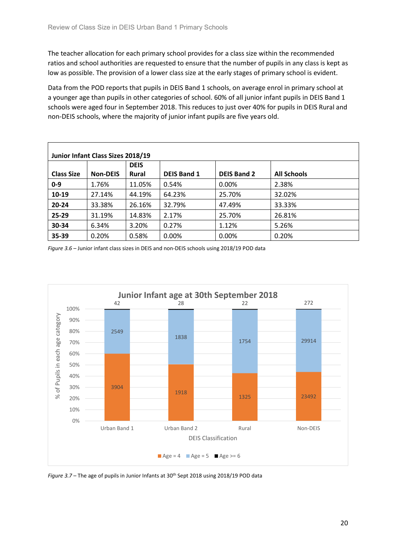The teacher allocation for each primary school provides for a class size within the recommended ratios and school authorities are requested to ensure that the number of pupils in any class is kept as low as possible. The provision of a lower class size at the early stages of primary school is evident.

Data from the POD reports that pupils in DEIS Band 1 schools, on average enrol in primary school at a younger age than pupils in other categories of school. 60% of all junior infant pupils in DEIS Band 1 schools were aged four in September 2018. This reduces to just over 40% for pupils in DEIS Rural and non-DEIS schools, where the majority of junior infant pupils are five years old.

| Junior Infant Class Sizes 2018/19<br><b>DEIS</b> |                 |              |                    |                    |                    |
|--------------------------------------------------|-----------------|--------------|--------------------|--------------------|--------------------|
| <b>Class Size</b>                                | <b>Non-DEIS</b> | <b>Rural</b> | <b>DEIS Band 1</b> | <b>DEIS Band 2</b> | <b>All Schools</b> |
| $0 - 9$                                          | 1.76%           | 11.05%       | 0.54%              | 0.00%              | 2.38%              |
| 10-19                                            | 27.14%          | 44.19%       | 64.23%             | 25.70%             | 32.02%             |
| $20 - 24$                                        | 33.38%          | 26.16%       | 32.79%             | 47.49%             | 33.33%             |
| 25-29                                            | 31.19%          | 14.83%       | 2.17%              | 25.70%             | 26.81%             |
| 30-34                                            | 6.34%           | 3.20%        | 0.27%              | 1.12%              | 5.26%              |
| 35-39                                            | 0.20%           | 0.58%        | 0.00%              | 0.00%              | 0.20%              |

*Figure 3.6 –* Junior infant class sizes in DEIS and non-DEIS schools using 2018/19 POD data



*Figure 3.7* – The age of pupils in Junior Infants at 30<sup>th</sup> Sept 2018 using 2018/19 POD data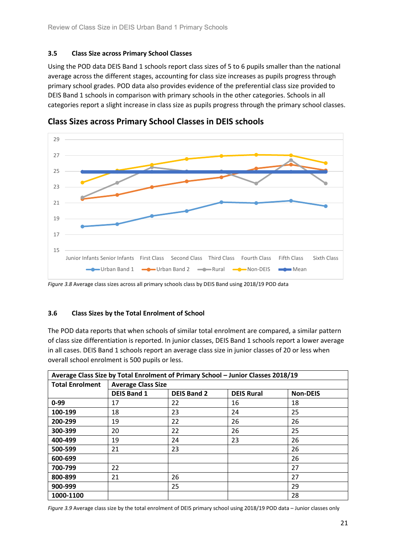### **3.5 Class Size across Primary School Classes**

Using the POD data DEIS Band 1 schools report class sizes of 5 to 6 pupils smaller than the national average across the different stages, accounting for class size increases as pupils progress through primary school grades. POD data also provides evidence of the preferential class size provided to DEIS Band 1 schools in comparison with primary schools in the other categories. Schools in all categories report a slight increase in class size as pupils progress through the primary school classes.



**Class Sizes across Primary School Classes in DEIS schools**

### **3.6 Class Sizes by the Total Enrolment of School**

The POD data reports that when schools of similar total enrolment are compared, a similar pattern of class size differentiation is reported. In junior classes, DEIS Band 1 schools report a lower average in all cases. DEIS Band 1 schools report an average class size in junior classes of 20 or less when overall school enrolment is 500 pupils or less.

| Average Class Size by Total Enrolment of Primary School - Junior Classes 2018/19 |                           |                    |                   |                 |  |
|----------------------------------------------------------------------------------|---------------------------|--------------------|-------------------|-----------------|--|
| <b>Total Enrolment</b>                                                           | <b>Average Class Size</b> |                    |                   |                 |  |
|                                                                                  | <b>DEIS Band 1</b>        | <b>DEIS Band 2</b> | <b>DEIS Rural</b> | <b>Non-DEIS</b> |  |
| $0 - 99$                                                                         | 17                        | 22                 | 16                | 18              |  |
| 100-199                                                                          | 18                        | 23                 | 24                | 25              |  |
| 200-299                                                                          | 19                        | 22                 | 26                | 26              |  |
| 300-399                                                                          | 20                        | 22                 | 26                | 25              |  |
| 400-499                                                                          | 19                        | 24                 | 23                | 26              |  |
| 500-599                                                                          | 21                        | 23                 |                   | 26              |  |
| 600-699                                                                          |                           |                    |                   | 26              |  |
| 700-799                                                                          | 22                        |                    |                   | 27              |  |
| 800-899                                                                          | 21                        | 26                 |                   | 27              |  |
| 900-999                                                                          |                           | 25                 |                   | 29              |  |
| 1000-1100                                                                        |                           |                    |                   | 28              |  |

*Figure 3.9* Average class size by the total enrolment of DEIS primary school using 2018/19 POD data – Junior classes only

*Figure 3.8* Average class sizes across all primary schools class by DEIS Band using 2018/19 POD data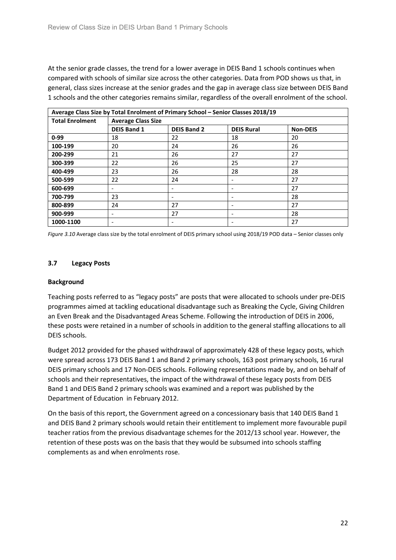At the senior grade classes, the trend for a lower average in DEIS Band 1 schools continues when compared with schools of similar size across the other categories. Data from POD shows us that, in general, class sizes increase at the senior grades and the gap in average class size between DEIS Band 1 schools and the other categories remains similar, regardless of the overall enrolment of the school.

| Average Class Size by Total Enrolment of Primary School - Senior Classes 2018/19 |                           |                    |                   |                 |  |
|----------------------------------------------------------------------------------|---------------------------|--------------------|-------------------|-----------------|--|
| <b>Total Enrolment</b>                                                           | <b>Average Class Size</b> |                    |                   |                 |  |
|                                                                                  | <b>DEIS Band 1</b>        | <b>DEIS Band 2</b> | <b>DEIS Rural</b> | <b>Non-DEIS</b> |  |
| $0 - 99$                                                                         | 18                        | 22                 | 18                | 20              |  |
| 100-199                                                                          | 20                        | 24                 | 26                | 26              |  |
| 200-299                                                                          | 21                        | 26                 | 27                | 27              |  |
| 300-399                                                                          | 22                        | 26                 | 25                | 27              |  |
| 400-499                                                                          | 23                        | 26                 | 28                | 28              |  |
| 500-599                                                                          | 22                        | 24                 |                   | 27              |  |
| 600-699                                                                          |                           |                    |                   | 27              |  |
| 700-799                                                                          | 23                        |                    |                   | 28              |  |
| 800-899                                                                          | 24                        | 27                 |                   | 27              |  |
| 900-999                                                                          | -                         | 27                 | -                 | 28              |  |
| 1000-1100                                                                        | $\overline{\phantom{a}}$  |                    |                   | 27              |  |

*Figure 3.10* Average class size by the total enrolment of DEIS primary school using 2018/19 POD data – Senior classes only

### **3.7 Legacy Posts**

### **Background**

Teaching posts referred to as "legacy posts" are posts that were allocated to schools under pre-DEIS programmes aimed at tackling educational disadvantage such as Breaking the Cycle, Giving Children an Even Break and the Disadvantaged Areas Scheme. Following the introduction of DEIS in 2006, these posts were retained in a number of schools in addition to the general staffing allocations to all DEIS schools.

Budget 2012 provided for the phased withdrawal of approximately 428 of these legacy posts, which were spread across 173 DEIS Band 1 and Band 2 primary schools, 163 post primary schools, 16 rural DEIS primary schools and 17 Non-DEIS schools. Following representations made by, and on behalf of schools and their representatives, the impact of the withdrawal of these legacy posts from DEIS Band 1 and DEIS Band 2 primary schools was examined and a report was published by the Department of Education in February 2012.

On the basis of this report, the Government agreed on a concessionary basis that 140 DEIS Band 1 and DEIS Band 2 primary schools would retain their entitlement to implement more favourable pupil teacher ratios from the previous disadvantage schemes for the 2012/13 school year. However, the retention of these posts was on the basis that they would be subsumed into schools staffing complements as and when enrolments rose.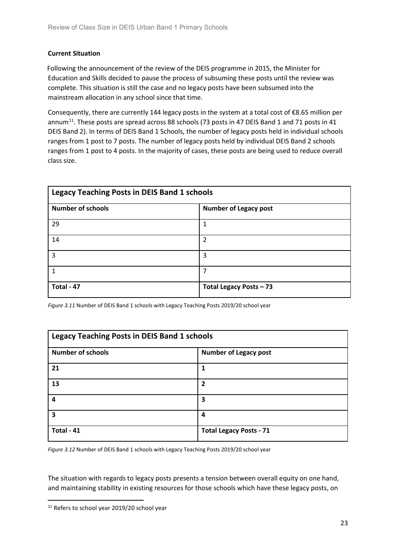### **Current Situation**

 Following the announcement of the review of the DEIS programme in 2015, the Minister for Education and Skills decided to pause the process of subsuming these posts until the review was complete. This situation is still the case and no legacy posts have been subsumed into the mainstream allocation in any school since that time.

Consequently, there are currently 144 legacy posts in the system at a total cost of €8.65 million per annum<sup>11</sup>. These posts are spread across 88 schools (73 posts in 47 DEIS Band 1 and 71 posts in 41 DEIS Band 2). In terms of DEIS Band 1 Schools, the number of legacy posts held in individual schools ranges from 1 post to 7 posts. The number of legacy posts held by individual DEIS Band 2 schools ranges from 1 post to 4 posts. In the majority of cases, these posts are being used to reduce overall class size.

| <b>Legacy Teaching Posts in DEIS Band 1 schools</b> |                              |  |  |
|-----------------------------------------------------|------------------------------|--|--|
| <b>Number of schools</b>                            | <b>Number of Legacy post</b> |  |  |
| 29                                                  |                              |  |  |
| 14                                                  | 2                            |  |  |
| 3                                                   | 3                            |  |  |
|                                                     |                              |  |  |
| Total - 47                                          | Total Legacy Posts - 73      |  |  |

*Figure 3.11* Number of DEIS Band 1 schools with Legacy Teaching Posts 2019/20 school year

| <b>Legacy Teaching Posts in DEIS Band 1 schools</b> |                                |  |
|-----------------------------------------------------|--------------------------------|--|
| <b>Number of schools</b>                            | <b>Number of Legacy post</b>   |  |
| 21                                                  | 1                              |  |
| 13                                                  | $\overline{2}$                 |  |
| 4                                                   | 3                              |  |
| 3                                                   | 4                              |  |
| Total - 41                                          | <b>Total Legacy Posts - 71</b> |  |

*Figure 3.12* Number of DEIS Band 1 schools with Legacy Teaching Posts 2019/20 school year

The situation with regards to legacy posts presents a tension between overall equity on one hand, and maintaining stability in existing resources for those schools which have these legacy posts, on

<span id="page-22-0"></span><sup>&</sup>lt;sup>11</sup> Refers to school year 2019/20 school year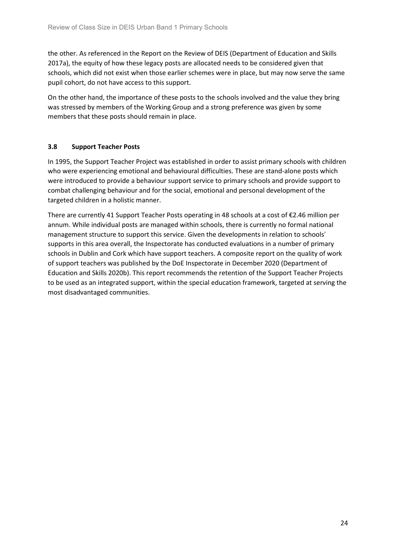the other. As referenced in the Report on the Review of DEIS (Department of Education and Skills 2017a), the equity of how these legacy posts are allocated needs to be considered given that schools, which did not exist when those earlier schemes were in place, but may now serve the same pupil cohort, do not have access to this support.

On the other hand, the importance of these posts to the schools involved and the value they bring was stressed by members of the Working Group and a strong preference was given by some members that these posts should remain in place.

### **3.8 Support Teacher Posts**

In 1995, the Support Teacher Project was established in order to assist primary schools with children who were experiencing emotional and behavioural difficulties. These are stand-alone posts which were introduced to provide a behaviour support service to primary schools and provide support to combat challenging behaviour and for the social, emotional and personal development of the targeted children in a holistic manner.

There are currently 41 Support Teacher Posts operating in 48 schools at a cost of €2.46 million per annum. While individual posts are managed within schools, there is currently no formal national management structure to support this service. Given the developments in relation to schools' supports in this area overall, the Inspectorate has conducted evaluations in a number of primary schools in Dublin and Cork which have support teachers. A composite report on the quality of work of support teachers was published by the DoE Inspectorate in December 2020 (Department of Education and Skills 2020b). This report recommends the retention of the Support Teacher Projects to be used as an integrated support, within the special education framework, targeted at serving the most disadvantaged communities.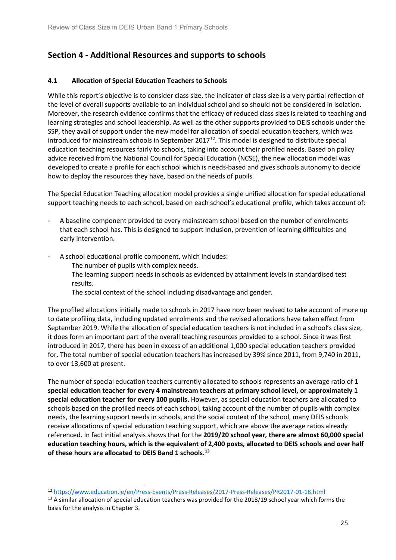# <span id="page-24-0"></span>**Section 4 - Additional Resources and supports to schools**

### **4.1 Allocation of Special Education Teachers to Schools**

While this report's objective is to consider class size, the indicator of class size is a very partial reflection of the level of overall supports available to an individual school and so should not be considered in isolation. Moreover, the research evidence confirms that the efficacy of reduced class sizes is related to teaching and learning strategies and school leadership. As well as the other supports provided to DEIS schools under the SSP, they avail of support under the new model for allocation of special education teachers, which was introduced for mainstream schools in September 2017 $^{12}$  $^{12}$  $^{12}$ . This model is designed to distribute special education teaching resources fairly to schools, taking into account their profiled needs. Based on policy advice received from the National Council for Special Education (NCSE), the new allocation model was developed to create a profile for each school which is needs-based and gives schools autonomy to decide how to deploy the resources they have, based on the needs of pupils.

The Special Education Teaching allocation model provides a single unified allocation for special educational support teaching needs to each school, based on each school's educational profile, which takes account of:

- A baseline component provided to every mainstream school based on the number of enrolments that each school has. This is designed to support inclusion, prevention of learning difficulties and early intervention.
- A school educational profile component, which includes:
	- The number of pupils with complex needs.
	- The learning support needs in schools as evidenced by attainment levels in standardised test results.
	- The social context of the school including disadvantage and gender.

The profiled allocations initially made to schools in 2017 have now been revised to take account of more up to date profiling data, including updated enrolments and the revised allocations have taken effect from September 2019. While the allocation of special education teachers is not included in a school's class size, it does form an important part of the overall teaching resources provided to a school. Since it was first introduced in 2017, there has been in excess of an additional 1,000 special education teachers provided for. The total number of special education teachers has increased by 39% since 2011, from 9,740 in 2011, to over 13,600 at present.

The number of special education teachers currently allocated to schools represents an average ratio of **1 special education teacher for every 4 mainstream teachers at primary school level, or approximately 1 special education teacher for every 100 pupils.** However, as special education teachers are allocated to schools based on the profiled needs of each school, taking account of the number of pupils with complex needs, the learning support needs in schools, and the social context of the school, many DEIS schools receive allocations of special education teaching support, which are above the average ratios already referenced. In fact initial analysis shows that for the **2019/20 school year, there are almost 60,000 special education teaching hours, which is the equivalent of 2,400 posts, allocated to DEIS schools and over half of these hours are allocated to DEIS Band 1 schools.[13](#page-24-2)**

<span id="page-24-1"></span> <sup>12</sup> <https://www.education.ie/en/Press-Events/Press-Releases/2017-Press-Releases/PR2017-01-18.html>

<span id="page-24-2"></span><sup>&</sup>lt;sup>13</sup> A similar allocation of special education teachers was provided for the 2018/19 school year which forms the basis for the analysis in Chapter 3.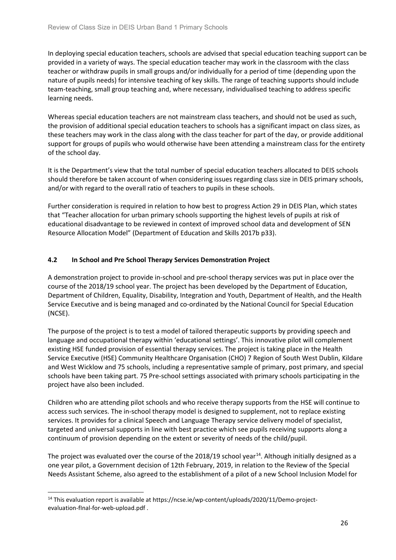In deploying special education teachers, schools are advised that special education teaching support can be provided in a variety of ways. The special education teacher may work in the classroom with the class teacher or withdraw pupils in small groups and/or individually for a period of time (depending upon the nature of pupils needs) for intensive teaching of key skills. The range of teaching supports should include team-teaching, small group teaching and, where necessary, individualised teaching to address specific learning needs.

Whereas special education teachers are not mainstream class teachers, and should not be used as such, the provision of additional special education teachers to schools has a significant impact on class sizes, as these teachers may work in the class along with the class teacher for part of the day, or provide additional support for groups of pupils who would otherwise have been attending a mainstream class for the entirety of the school day.

It is the Department's view that the total number of special education teachers allocated to DEIS schools should therefore be taken account of when considering issues regarding class size in DEIS primary schools, and/or with regard to the overall ratio of teachers to pupils in these schools.

Further consideration is required in relation to how best to progress Action 29 in DEIS Plan, which states that "Teacher allocation for urban primary schools supporting the highest levels of pupils at risk of educational disadvantage to be reviewed in context of improved school data and development of SEN Resource Allocation Model" (Department of Education and Skills 2017b p33).

### **4.2 In School and Pre School Therapy Services Demonstration Project**

A demonstration project to provide in-school and pre-school therapy services was put in place over the course of the 2018/19 school year. The project has been developed by the Department of Education, Department of Children, Equality, Disability, Integration and Youth, Department of Health, and the Health Service Executive and is being managed and co-ordinated by the National Council for Special Education (NCSE).

The purpose of the project is to test a model of tailored therapeutic supports by providing speech and language and occupational therapy within 'educational settings'. This innovative pilot will complement existing HSE funded provision of essential therapy services. The project is taking place in the Health Service Executive (HSE) Community Healthcare Organisation (CHO) 7 Region of South West Dublin, Kildare and West Wicklow and 75 schools, including a representative sample of primary, post primary, and special schools have been taking part. 75 Pre-school settings associated with primary schools participating in the project have also been included.

Children who are attending pilot schools and who receive therapy supports from the HSE will continue to access such services. The in-school therapy model is designed to supplement, not to replace existing services. It provides for a clinical Speech and Language Therapy service delivery model of specialist, targeted and universal supports in line with best practice which see pupils receiving supports along a continuum of provision depending on the extent or severity of needs of the child/pupil.

The project was evaluated over the course of the 2018/19 school year<sup>[14](#page-25-0)</sup>. Although initially designed as a one year pilot, a Government decision of 12th February, 2019, in relation to the Review of the Special Needs Assistant Scheme, also agreed to the establishment of a pilot of a new School Inclusion Model for

<span id="page-25-0"></span><sup>&</sup>lt;sup>14</sup> This evaluation report is available at https://ncse.ie/wp-content/uploads/2020/11/Demo-projectevaluation-fInal-for-web-upload.pdf .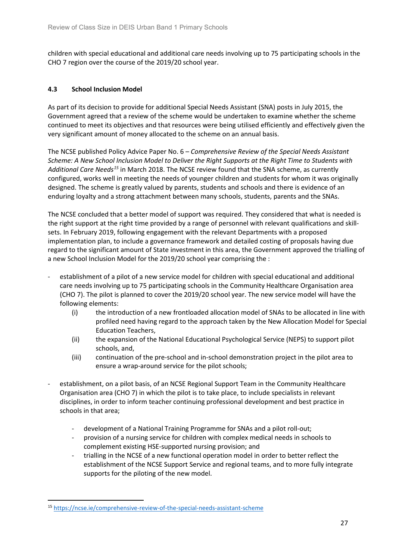children with special educational and additional care needs involving up to 75 participating schools in the CHO 7 region over the course of the 2019/20 school year.

### **4.3 School Inclusion Model**

As part of its decision to provide for additional Special Needs Assistant (SNA) posts in July 2015, the Government agreed that a review of the scheme would be undertaken to examine whether the scheme continued to meet its objectives and that resources were being utilised efficiently and effectively given the very significant amount of money allocated to the scheme on an annual basis.

The NCSE published Policy Advice Paper No. 6 – *Comprehensive Review of the Special Needs Assistant Scheme: A New School Inclusion Model to Deliver the Right Supports at the Right Time to Students with Additional Care Needs[15](#page-26-0)* in March 2018. The NCSE review found that the SNA scheme, as currently configured, works well in meeting the needs of younger children and students for whom it was originally designed. The scheme is greatly valued by parents, students and schools and there is evidence of an enduring loyalty and a strong attachment between many schools, students, parents and the SNAs.

The NCSE concluded that a better model of support was required. They considered that what is needed is the right support at the right time provided by a range of personnel with relevant qualifications and skillsets. In February 2019, following engagement with the relevant Departments with a proposed implementation plan, to include a governance framework and detailed costing of proposals having due regard to the significant amount of State investment in this area, the Government approved the trialling of a new School Inclusion Model for the 2019/20 school year comprising the :

- establishment of a pilot of a new service model for children with special educational and additional care needs involving up to 75 participating schools in the Community Healthcare Organisation area (CHO 7). The pilot is planned to cover the 2019/20 school year. The new service model will have the following elements:
	- (i) the introduction of a new frontloaded allocation model of SNAs to be allocated in line with profiled need having regard to the approach taken by the New Allocation Model for Special Education Teachers,
	- (ii) the expansion of the National Educational Psychological Service (NEPS) to support pilot schools, and,
	- (iii) continuation of the pre-school and in-school demonstration project in the pilot area to ensure a wrap-around service for the pilot schools;
- establishment, on a pilot basis, of an NCSE Regional Support Team in the Community Healthcare Organisation area (CHO 7) in which the pilot is to take place, to include specialists in relevant disciplines, in order to inform teacher continuing professional development and best practice in schools in that area;
	- development of a National Training Programme for SNAs and a pilot roll-out;
	- provision of a nursing service for children with complex medical needs in schools to complement existing HSE-supported nursing provision; and
	- trialling in the NCSE of a new functional operation model in order to better reflect the establishment of the NCSE Support Service and regional teams, and to more fully integrate supports for the piloting of the new model.

<span id="page-26-0"></span> <sup>15</sup> <https://ncse.ie/comprehensive-review-of-the-special-needs-assistant-scheme>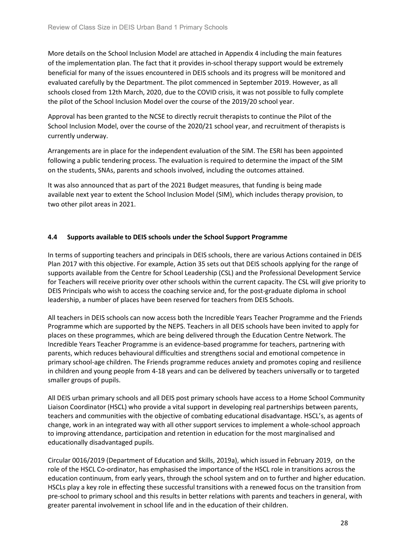More details on the School Inclusion Model are attached in Appendix 4 including the main features of the implementation plan. The fact that it provides in-school therapy support would be extremely beneficial for many of the issues encountered in DEIS schools and its progress will be monitored and evaluated carefully by the Department. The pilot commenced in September 2019. However, as all schools closed from 12th March, 2020, due to the COVID crisis, it was not possible to fully complete the pilot of the School Inclusion Model over the course of the 2019/20 school year.

Approval has been granted to the NCSE to directly recruit therapists to continue the Pilot of the School Inclusion Model, over the course of the 2020/21 school year, and recruitment of therapists is currently underway.

Arrangements are in place for the independent evaluation of the SIM. The ESRI has been appointed following a public tendering process. The evaluation is required to determine the impact of the SIM on the students, SNAs, parents and schools involved, including the outcomes attained.

It was also announced that as part of the 2021 Budget measures, that funding is being made available next year to extent the School Inclusion Model (SIM), which includes therapy provision, to two other pilot areas in 2021.

### **4.4 Supports available to DEIS schools under the School Support Programme**

In terms of supporting teachers and principals in DEIS schools, there are various Actions contained in DEIS Plan 2017 with this objective. For example, Action 35 sets out that DEIS schools applying for the range of supports available from the Centre for School Leadership (CSL) and the Professional Development Service for Teachers will receive priority over other schools within the current capacity. The CSL will give priority to DEIS Principals who wish to access the coaching service and, for the post-graduate diploma in school leadership, a number of places have been reserved for teachers from DEIS Schools.

All teachers in DEIS schools can now access both the Incredible Years Teacher Programme and the Friends Programme which are supported by the NEPS. Teachers in all DEIS schools have been invited to apply for places on these programmes, which are being delivered through the Education Centre Network. The Incredible Years Teacher Programme is an evidence-based programme for teachers, partnering with parents, which reduces behavioural difficulties and strengthens social and emotional competence in primary school-age children. The Friends programme reduces anxiety and promotes coping and resilience in children and young people from 4-18 years and can be delivered by teachers universally or to targeted smaller groups of pupils.

All DEIS urban primary schools and all DEIS post primary schools have access to a Home School Community Liaison Coordinator (HSCL) who provide a vital support in developing real partnerships between parents, teachers and communities with the objective of combating educational disadvantage. HSCL's, as agents of change, work in an integrated way with all other support services to implement a whole-school approach to improving attendance, participation and retention in education for the most marginalised and educationally disadvantaged pupils.

Circular 0016/2019 (Department of Education and Skills, 2019a), which issued in February 2019, on the role of the HSCL Co-ordinator, has emphasised the importance of the HSCL role in transitions across the education continuum, from early years, through the school system and on to further and higher education. HSCLs play a key role in effecting these successful transitions with a renewed focus on the transition from pre-school to primary school and this results in better relations with parents and teachers in general, with greater parental involvement in school life and in the education of their children.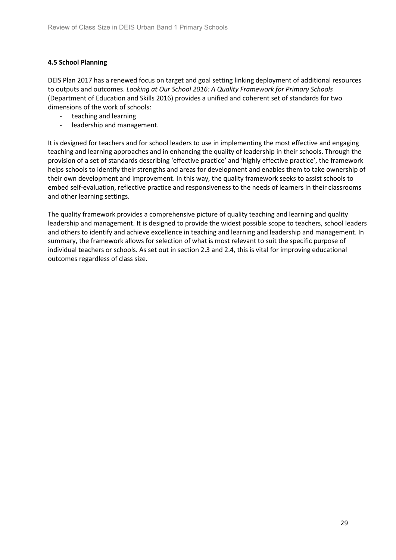### **4.5 School Planning**

DEIS Plan 2017 has a renewed focus on target and goal setting linking deployment of additional resources to outputs and outcomes. *Looking at Our School 2016: A Quality Framework for Primary Schools*  (Department of Education and Skills 2016) provides a unified and coherent set of standards for two dimensions of the work of schools:

- teaching and learning
- leadership and management.

It is designed for teachers and for school leaders to use in implementing the most effective and engaging teaching and learning approaches and in enhancing the quality of leadership in their schools. Through the provision of a set of standards describing 'effective practice' and 'highly effective practice', the framework helps schools to identify their strengths and areas for development and enables them to take ownership of their own development and improvement. In this way, the quality framework seeks to assist schools to embed self-evaluation, reflective practice and responsiveness to the needs of learners in their classrooms and other learning settings.

The quality framework provides a comprehensive picture of quality teaching and learning and quality leadership and management. It is designed to provide the widest possible scope to teachers, school leaders and others to identify and achieve excellence in teaching and learning and leadership and management. In summary, the framework allows for selection of what is most relevant to suit the specific purpose of individual teachers or schools. As set out in section 2.3 and 2.4, this is vital for improving educational outcomes regardless of class size.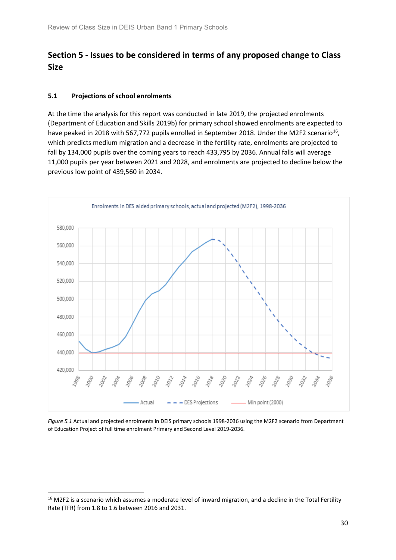# <span id="page-29-0"></span>**Section 5 - Issues to be considered in terms of any proposed change to Class Size**

### **5.1 Projections of school enrolments**

At the time the analysis for this report was conducted in late 2019, the projected enrolments (Department of Education and Skills 2019b) for primary school showed enrolments are expected to have peaked in 2018 with 567,772 pupils enrolled in September 2018. Under the M2F2 scenario<sup>16</sup>, which predicts medium migration and a decrease in the fertility rate, enrolments are projected to fall by 134,000 pupils over the coming years to reach 433,795 by 2036. Annual falls will average 11,000 pupils per year between 2021 and 2028, and enrolments are projected to decline below the previous low point of 439,560 in 2034.



*Figure 5.1* Actual and projected enrolments in DEIS primary schools 1998-2036 using the M2F2 scenario from Department of Education Project of full time enrolment Primary and Second Level 2019-2036.

<span id="page-29-1"></span><sup>&</sup>lt;sup>16</sup> M2F2 is a scenario which assumes a moderate level of inward migration, and a decline in the Total Fertility Rate (TFR) from 1.8 to 1.6 between 2016 and 2031.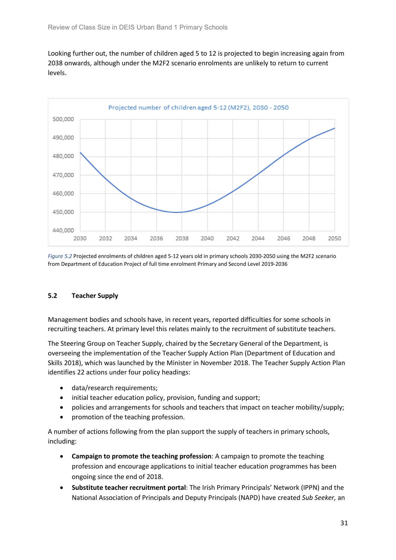Looking further out, the number of children aged 5 to 12 is projected to begin increasing again from 2038 onwards, although under the M2F2 scenario enrolments are unlikely to return to current levels.



*Figure 5.2* Projected enrolments of children aged 5-12 years old in primary schools 2030-2050 using the M2F2 scenario from Department of Education Project of full time enrolment Primary and Second Level 2019-2036

### **5.2 Teacher Supply**

Management bodies and schools have, in recent years, reported difficulties for some schools in recruiting teachers. At primary level this relates mainly to the recruitment of substitute teachers.

The Steering Group on Teacher Supply, chaired by the Secretary General of the Department, is overseeing the implementation of the Teacher Supply Action Plan (Department of Education and Skills 2018), which was launched by the Minister in November 2018. The Teacher Supply Action Plan identifies 22 actions under four policy headings:

- data/research requirements;
- initial teacher education policy, provision, funding and support;
- policies and arrangements for schools and teachers that impact on teacher mobility/supply;
- promotion of the teaching profession.

A number of actions following from the plan support the supply of teachers in primary schools, including:

- **Campaign to promote the teaching profession**: A campaign to promote the teaching profession and encourage applications to initial teacher education programmes has been ongoing since the end of 2018.
- **Substitute teacher recruitment portal**: The Irish Primary Principals' Network (IPPN) and the National Association of Principals and Deputy Principals (NAPD) have created *Sub Seeker,* an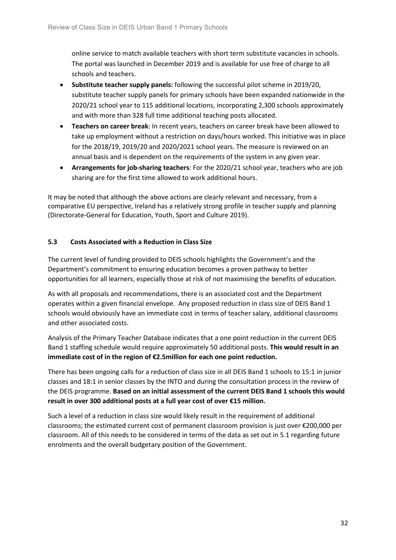online service to match available teachers with short term substitute vacancies in schools. The portal was launched in December 2019 and is available for use free of charge to all schools and teachers.

- **Substitute teacher supply panels:** following the successful pilot scheme in 2019/20, substitute teacher supply panels for primary schools have been expanded nationwide in the 2020/21 school year to 115 additional locations, incorporating 2,300 schools approximately and with more than 328 full time additional teaching posts allocated.
- **Teachers on career break**: In recent years, teachers on career break have been allowed to take up employment without a restriction on days/hours worked. This initiative was in place for the 2018/19, 2019/20 and 2020/2021 school years. The measure is reviewed on an annual basis and is dependent on the requirements of the system in any given year.
- **Arrangements for job-sharing teachers**: For the 2020/21 school year, teachers who are job sharing are for the first time allowed to work additional hours.

It may be noted that although the above actions are clearly relevant and necessary, from a comparative EU perspective, Ireland has a relatively strong profile in teacher supply and planning (Directorate-General for Education, Youth, Sport and Culture 2019).

### **5.3 Costs Associated with a Reduction in Class Size**

The current level of funding provided to DEIS schools highlights the Government's and the Department's commitment to ensuring education becomes a proven pathway to better opportunities for all learners, especially those at risk of not maximising the benefits of education.

As with all proposals and recommendations, there is an associated cost and the Department operates within a given financial envelope. Any proposed reduction in class size of DEIS Band 1 schools would obviously have an immediate cost in terms of teacher salary, additional classrooms and other associated costs.

Analysis of the Primary Teacher Database indicates that a one point reduction in the current DEIS Band 1 staffing schedule would require approximately 50 additional posts. **This would result in an immediate cost of in the region of €2.5million for each one point reduction.** 

There has been ongoing calls for a reduction of class size in all DEIS Band 1 schools to 15:1 in junior classes and 18:1 in senior classes by the INTO and during the consultation process in the review of the DEIS programme. **Based on an initial assessment of the current DEIS Band 1 schools this would result in over 300 additional posts at a full year cost of over €15 million.** 

Such a level of a reduction in class size would likely result in the requirement of additional classrooms; the estimated current cost of permanent classroom provision is just over €200,000 per classroom. All of this needs to be considered in terms of the data as set out in 5.1 regarding future enrolments and the overall budgetary position of the Government.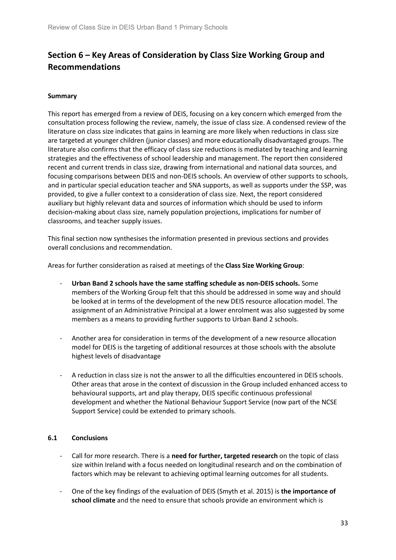# <span id="page-32-0"></span>**Section 6 – Key Areas of Consideration by Class Size Working Group and Recommendations**

### **Summary**

This report has emerged from a review of DEIS, focusing on a key concern which emerged from the consultation process following the review, namely, the issue of class size. A condensed review of the literature on class size indicates that gains in learning are more likely when reductions in class size are targeted at younger children (junior classes) and more educationally disadvantaged groups. The literature also confirms that the efficacy of class size reductions is mediated by teaching and learning strategies and the effectiveness of school leadership and management. The report then considered recent and current trends in class size, drawing from international and national data sources, and focusing comparisons between DEIS and non-DEIS schools. An overview of other supports to schools, and in particular special education teacher and SNA supports, as well as supports under the SSP, was provided, to give a fuller context to a consideration of class size. Next, the report considered auxiliary but highly relevant data and sources of information which should be used to inform decision-making about class size, namely population projections, implications for number of classrooms, and teacher supply issues.

This final section now synthesises the information presented in previous sections and provides overall conclusions and recommendation.

Areas for further consideration as raised at meetings of the **Class Size Working Group**:

- **Urban Band 2 schools have the same staffing schedule as non-DEIS schools.** Some members of the Working Group felt that this should be addressed in some way and should be looked at in terms of the development of the new DEIS resource allocation model. The assignment of an Administrative Principal at a lower enrolment was also suggested by some members as a means to providing further supports to Urban Band 2 schools.
- Another area for consideration in terms of the development of a new resource allocation model for DEIS is the targeting of additional resources at those schools with the absolute highest levels of disadvantage
- A reduction in class size is not the answer to all the difficulties encountered in DEIS schools. Other areas that arose in the context of discussion in the Group included enhanced access to behavioural supports, art and play therapy, DEIS specific continuous professional development and whether the National Behaviour Support Service (now part of the NCSE Support Service) could be extended to primary schools.

### **6.1 Conclusions**

- Call for more research. There is a **need for further, targeted research** on the topic of class size within Ireland with a focus needed on longitudinal research and on the combination of factors which may be relevant to achieving optimal learning outcomes for all students.
- One of the key findings of the evaluation of DEIS (Smyth et al. 2015) is **the importance of school climate** and the need to ensure that schools provide an environment which is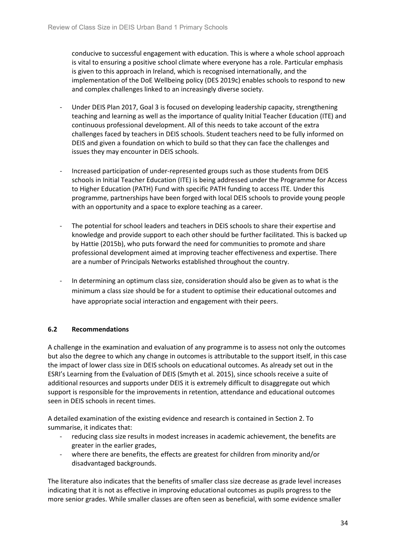conducive to successful engagement with education. This is where a whole school approach is vital to ensuring a positive school climate where everyone has a role. Particular emphasis is given to this approach in Ireland, which is recognised internationally, and the implementation of the DoE Wellbeing policy (DES 2019c) enables schools to respond to new and complex challenges linked to an increasingly diverse society.

- Under DEIS Plan 2017, Goal 3 is focused on developing leadership capacity, strengthening teaching and learning as well as the importance of quality Initial Teacher Education (ITE) and continuous professional development. All of this needs to take account of the extra challenges faced by teachers in DEIS schools. Student teachers need to be fully informed on DEIS and given a foundation on which to build so that they can face the challenges and issues they may encounter in DEIS schools.
- Increased participation of under-represented groups such as those students from DEIS schools in Initial Teacher Education (ITE) is being addressed under the Programme for Access to Higher Education (PATH) Fund with specific PATH funding to access ITE. Under this programme, partnerships have been forged with local DEIS schools to provide young people with an opportunity and a space to explore teaching as a career.
- The potential for school leaders and teachers in DEIS schools to share their expertise and knowledge and provide support to each other should be further facilitated. This is backed up by Hattie (2015b), who puts forward the need for communities to promote and share professional development aimed at improving teacher effectiveness and expertise. There are a number of Principals Networks established throughout the country.
- In determining an optimum class size, consideration should also be given as to what is the minimum a class size should be for a student to optimise their educational outcomes and have appropriate social interaction and engagement with their peers.

### **6.2 Recommendations**

A challenge in the examination and evaluation of any programme is to assess not only the outcomes but also the degree to which any change in outcomes is attributable to the support itself, in this case the impact of lower class size in DEIS schools on educational outcomes. As already set out in the ESRI's Learning from the Evaluation of DEIS (Smyth et al. 2015), since schools receive a suite of additional resources and supports under DEIS it is extremely difficult to disaggregate out which support is responsible for the improvements in retention, attendance and educational outcomes seen in DEIS schools in recent times.

A detailed examination of the existing evidence and research is contained in Section 2. To summarise, it indicates that:

- reducing class size results in modest increases in academic achievement, the benefits are greater in the earlier grades,
- where there are benefits, the effects are greatest for children from minority and/or disadvantaged backgrounds.

The literature also indicates that the benefits of smaller class size decrease as grade level increases indicating that it is not as effective in improving educational outcomes as pupils progress to the more senior grades. While smaller classes are often seen as beneficial, with some evidence smaller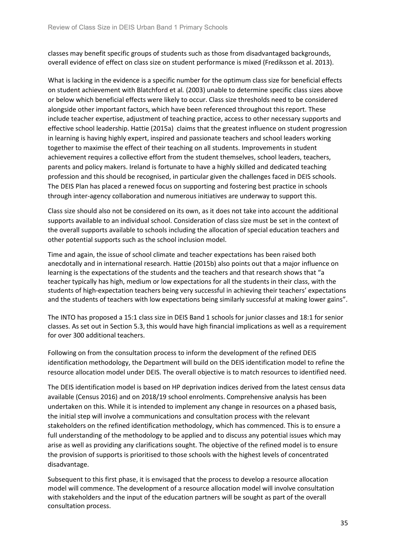classes may benefit specific groups of students such as those from disadvantaged backgrounds, overall evidence of effect on class size on student performance is mixed (Frediksson et al. 2013).

What is lacking in the evidence is a specific number for the optimum class size for beneficial effects on student achievement with Blatchford et al*.* (2003) unable to determine specific class sizes above or below which beneficial effects were likely to occur. Class size thresholds need to be considered alongside other important factors, which have been referenced throughout this report. These include teacher expertise, adjustment of teaching practice, access to other necessary supports and effective school leadership. Hattie (2015a) claims that the greatest influence on student progression in learning is having highly expert, inspired and passionate teachers and school leaders working together to maximise the effect of their teaching on all students. Improvements in student achievement requires a collective effort from the student themselves, school leaders, teachers, parents and policy makers. Ireland is fortunate to have a highly skilled and dedicated teaching profession and this should be recognised, in particular given the challenges faced in DEIS schools. The DEIS Plan has placed a renewed focus on supporting and fostering best practice in schools through inter-agency collaboration and numerous initiatives are underway to support this.

Class size should also not be considered on its own, as it does not take into account the additional supports available to an individual school. Consideration of class size must be set in the context of the overall supports available to schools including the allocation of special education teachers and other potential supports such as the school inclusion model.

Time and again, the issue of school climate and teacher expectations has been raised both anecdotally and in international research. Hattie (2015b) also points out that a major influence on learning is the expectations of the students and the teachers and that research shows that "a teacher typically has high, medium or low expectations for all the students in their class, with the students of high-expectation teachers being very successful in achieving their teachers' expectations and the students of teachers with low expectations being similarly successful at making lower gains".

The INTO has proposed a 15:1 class size in DEIS Band 1 schools for junior classes and 18:1 for senior classes. As set out in Section 5.3, this would have high financial implications as well as a requirement for over 300 additional teachers.

Following on from the consultation process to inform the development of the refined DEIS identification methodology, the Department will build on the DEIS identification model to refine the resource allocation model under DEIS. The overall objective is to match resources to identified need.

The DEIS identification model is based on HP deprivation indices derived from the latest census data available (Census 2016) and on 2018/19 school enrolments. Comprehensive analysis has been undertaken on this. While it is intended to implement any change in resources on a phased basis, the initial step will involve a communications and consultation process with the relevant stakeholders on the refined identification methodology, which has commenced. This is to ensure a full understanding of the methodology to be applied and to discuss any potential issues which may arise as well as providing any clarifications sought. The objective of the refined model is to ensure the provision of supports is prioritised to those schools with the highest levels of concentrated disadvantage.

Subsequent to this first phase, it is envisaged that the process to develop a resource allocation model will commence. The development of a resource allocation model will involve consultation with stakeholders and the input of the education partners will be sought as part of the overall consultation process.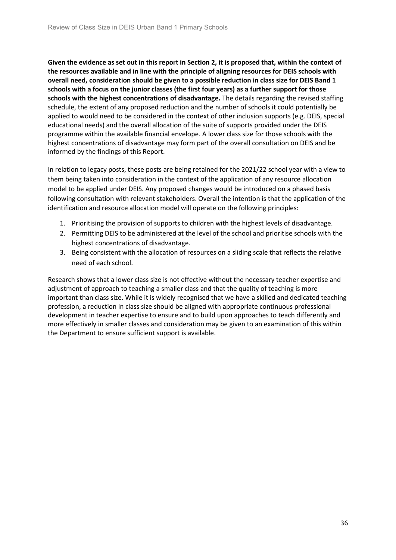**Given the evidence as set out in this report in Section 2, it is proposed that, within the context of the resources available and in line with the principle of aligning resources for DEIS schools with overall need, consideration should be given to a possible reduction in class size for DEIS Band 1 schools with a focus on the junior classes (the first four years) as a further support for those schools with the highest concentrations of disadvantage.** The details regarding the revised staffing schedule, the extent of any proposed reduction and the number of schools it could potentially be applied to would need to be considered in the context of other inclusion supports (e.g. DEIS, special educational needs) and the overall allocation of the suite of supports provided under the DEIS programme within the available financial envelope. A lower class size for those schools with the highest concentrations of disadvantage may form part of the overall consultation on DEIS and be informed by the findings of this Report.

In relation to legacy posts, these posts are being retained for the 2021/22 school year with a view to them being taken into consideration in the context of the application of any resource allocation model to be applied under DEIS. Any proposed changes would be introduced on a phased basis following consultation with relevant stakeholders. Overall the intention is that the application of the identification and resource allocation model will operate on the following principles:

- 1. Prioritising the provision of supports to children with the highest levels of disadvantage.
- 2. Permitting DEIS to be administered at the level of the school and prioritise schools with the highest concentrations of disadvantage.
- 3. Being consistent with the allocation of resources on a sliding scale that reflects the relative need of each school.

Research shows that a lower class size is not effective without the necessary teacher expertise and adjustment of approach to teaching a smaller class and that the quality of teaching is more important than class size. While it is widely recognised that we have a skilled and dedicated teaching profession, a reduction in class size should be aligned with appropriate continuous professional development in teacher expertise to ensure and to build upon approaches to teach differently and more effectively in smaller classes and consideration may be given to an examination of this within the Department to ensure sufficient support is available.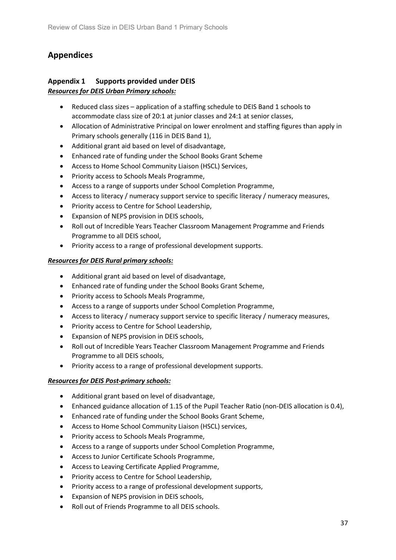# <span id="page-36-0"></span>**Appendices**

### <span id="page-36-1"></span>**Appendix 1 Supports provided under DEIS** *Resources for DEIS Urban Primary schools:*

- Reduced class sizes application of a staffing schedule to DEIS Band 1 schools to accommodate class size of 20:1 at junior classes and 24:1 at senior classes,
- Allocation of Administrative Principal on lower enrolment and staffing figures than apply in Primary schools generally (116 in DEIS Band 1),
- Additional grant aid based on level of disadvantage,
- Enhanced rate of funding under the School Books Grant Scheme
- Access to Home School Community Liaison (HSCL) Services,
- Priority access to Schools Meals Programme,
- Access to a range of supports under School Completion Programme,
- Access to literacy / numeracy support service to specific literacy / numeracy measures,
- Priority access to Centre for School Leadership,
- Expansion of NEPS provision in DEIS schools,
- Roll out of Incredible Years Teacher Classroom Management Programme and Friends Programme to all DEIS school,
- Priority access to a range of professional development supports.

### *Resources for DEIS Rural primary schools:*

- Additional grant aid based on level of disadvantage,
- Enhanced rate of funding under the School Books Grant Scheme,
- Priority access to Schools Meals Programme,
- Access to a range of supports under School Completion Programme,
- Access to literacy / numeracy support service to specific literacy / numeracy measures,
- Priority access to Centre for School Leadership,
- Expansion of NEPS provision in DEIS schools,
- Roll out of Incredible Years Teacher Classroom Management Programme and Friends Programme to all DEIS schools,
- Priority access to a range of professional development supports.

### *Resources for DEIS Post-primary schools:*

- Additional grant based on level of disadvantage,
- Enhanced guidance allocation of 1.15 of the Pupil Teacher Ratio (non-DEIS allocation is 0.4),
- Enhanced rate of funding under the School Books Grant Scheme,
- Access to Home School Community Liaison (HSCL) services,
- Priority access to Schools Meals Programme,
- Access to a range of supports under School Completion Programme,
- Access to Junior Certificate Schools Programme,
- Access to Leaving Certificate Applied Programme,
- Priority access to Centre for School Leadership,
- Priority access to a range of professional development supports,
- Expansion of NEPS provision in DEIS schools,
- Roll out of Friends Programme to all DEIS schools.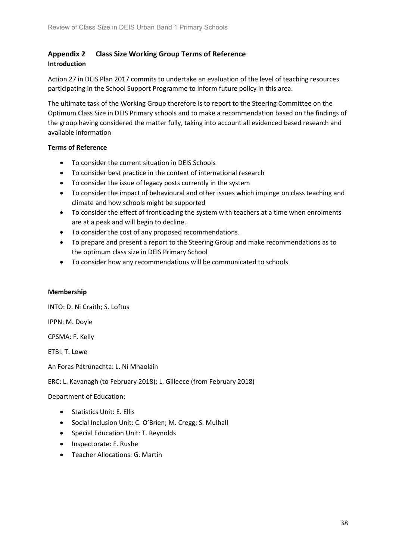### <span id="page-37-0"></span>**Appendix 2 Class Size Working Group Terms of Reference Introduction**

Action 27 in DEIS Plan 2017 commits to undertake an evaluation of the level of teaching resources participating in the School Support Programme to inform future policy in this area.

The ultimate task of the Working Group therefore is to report to the Steering Committee on the Optimum Class Size in DEIS Primary schools and to make a recommendation based on the findings of the group having considered the matter fully, taking into account all evidenced based research and available information

### **Terms of Reference**

- To consider the current situation in DEIS Schools
- To consider best practice in the context of international research
- To consider the issue of legacy posts currently in the system
- To consider the impact of behavioural and other issues which impinge on class teaching and climate and how schools might be supported
- To consider the effect of frontloading the system with teachers at a time when enrolments are at a peak and will begin to decline.
- To consider the cost of any proposed recommendations.
- To prepare and present a report to the Steering Group and make recommendations as to the optimum class size in DEIS Primary School
- To consider how any recommendations will be communicated to schools

### **Membership**

INTO: D. Ni Craith; S. Loftus

IPPN: M. Doyle

CPSMA: F. Kelly

ETBI: T. Lowe

An Foras Pátrúnachta: L. Ní Mhaoláin

ERC: L. Kavanagh (to February 2018); L. Gilleece (from February 2018)

Department of Education:

- Statistics Unit: E. Ellis
- Social Inclusion Unit: C. O'Brien; M. Cregg; S. Mulhall
- Special Education Unit: T. Reynolds
- Inspectorate: F. Rushe
- Teacher Allocations: G. Martin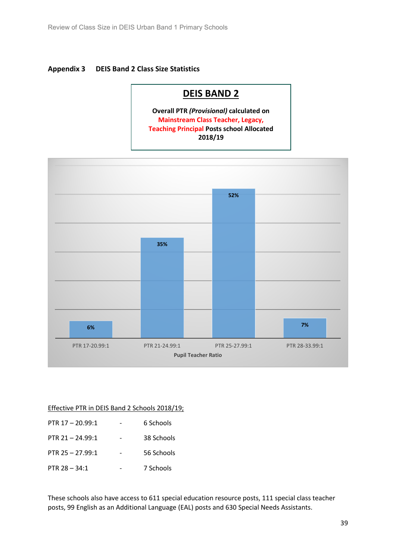### <span id="page-38-0"></span>**Appendix 3 DEIS Band 2 Class Size Statistics**

# **DEIS BAND 2**

**Overall PTR** *(Provisional)* **calculated on Mainstream Class Teacher, Legacy, Teaching Principal Posts school Allocated 2018/19**



### Effective PTR in DEIS Band 2 Schools 2018/19;

| PTR $17 - 20.99:1$ | 6 Schools  |
|--------------------|------------|
| PTR $21 - 24.99:1$ | 38 Schools |
| PTR $25 - 27.99:1$ | 56 Schools |
| PTR $28 - 34:1$    | 7 Schools  |

These schools also have access to 611 special education resource posts, 111 special class teacher posts, 99 English as an Additional Language (EAL) posts and 630 Special Needs Assistants.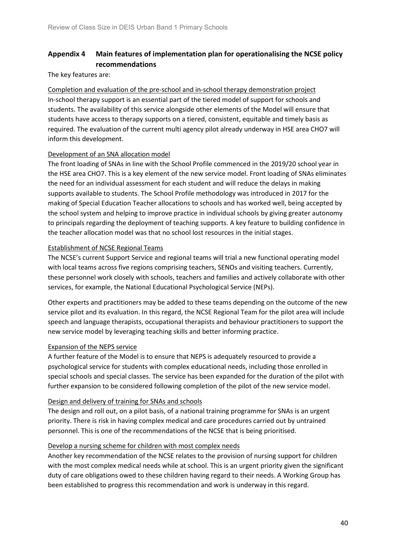### <span id="page-39-0"></span>**Appendix 4 Main features of implementation plan for operationalising the NCSE policy recommendations**

The key features are:

Completion and evaluation of the pre-school and in-school therapy demonstration project In-school therapy support is an essential part of the tiered model of support for schools and students. The availability of this service alongside other elements of the Model will ensure that students have access to therapy supports on a tiered, consistent, equitable and timely basis as required. The evaluation of the current multi agency pilot already underway in HSE area CHO7 will inform this development.

### Development of an SNA allocation model

The front loading of SNAs in line with the School Profile commenced in the 2019/20 school year in the HSE area CHO7. This is a key element of the new service model. Front loading of SNAs eliminates the need for an individual assessment for each student and will reduce the delays in making supports available to students. The School Profile methodology was introduced in 2017 for the making of Special Education Teacher allocations to schools and has worked well, being accepted by the school system and helping to improve practice in individual schools by giving greater autonomy to principals regarding the deployment of teaching supports. A key feature to building confidence in the teacher allocation model was that no school lost resources in the initial stages.

### Establishment of NCSE Regional Teams

The NCSE's current Support Service and regional teams will trial a new functional operating model with local teams across five regions comprising teachers, SENOs and visiting teachers. Currently, these personnel work closely with schools, teachers and families and actively collaborate with other services, for example, the National Educational Psychological Service (NEPs).

Other experts and practitioners may be added to these teams depending on the outcome of the new service pilot and its evaluation. In this regard, the NCSE Regional Team for the pilot area will include speech and language therapists, occupational therapists and behaviour practitioners to support the new service model by leveraging teaching skills and better informing practice.

### Expansion of the NEPS service

A further feature of the Model is to ensure that NEPS is adequately resourced to provide a psychological service for students with complex educational needs, including those enrolled in special schools and special classes. The service has been expanded for the duration of the pilot with further expansion to be considered following completion of the pilot of the new service model.

### Design and delivery of training for SNAs and schools

The design and roll out, on a pilot basis, of a national training programme for SNAs is an urgent priority. There is risk in having complex medical and care procedures carried out by untrained personnel. This is one of the recommendations of the NCSE that is being prioritised.

### Develop a nursing scheme for children with most complex needs

Another key recommendation of the NCSE relates to the provision of nursing support for children with the most complex medical needs while at school. This is an urgent priority given the significant duty of care obligations owed to these children having regard to their needs. A Working Group has been established to progress this recommendation and work is underway in this regard.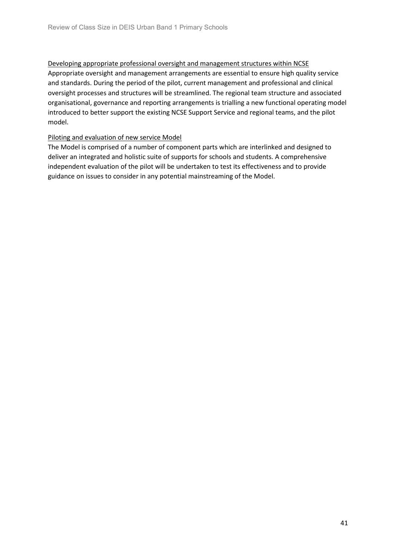Developing appropriate professional oversight and management structures within NCSE Appropriate oversight and management arrangements are essential to ensure high quality service and standards. During the period of the pilot, current management and professional and clinical oversight processes and structures will be streamlined. The regional team structure and associated organisational, governance and reporting arrangements is trialling a new functional operating model introduced to better support the existing NCSE Support Service and regional teams, and the pilot model.

### Piloting and evaluation of new service Model

The Model is comprised of a number of component parts which are interlinked and designed to deliver an integrated and holistic suite of supports for schools and students. A comprehensive independent evaluation of the pilot will be undertaken to test its effectiveness and to provide guidance on issues to consider in any potential mainstreaming of the Model.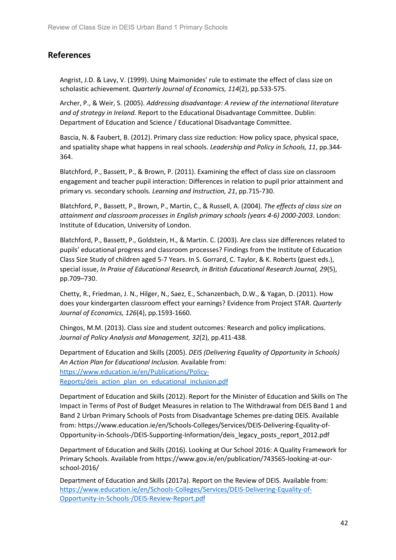### <span id="page-41-0"></span>**References**

Angrist, J.D. & Lavy, V. (1999). Using Maimonides' rule to estimate the effect of class size on scholastic achievement. *Quarterly Journal of Economics, 114*(2), pp.533-575.

Archer, P., & Weir, S. (2005). *Addressing disadvantage: A review of the international literature and of strategy in Ireland.* Report to the Educational Disadvantage Committee. Dublin: Department of Education and Science / Educational Disadvantage Committee.

Bascia, N. & Faubert, B. (2012). Primary class size reduction: How policy space, physical space, and spatiality shape what happens in real schools. *Leadership and Policy in Schools, 11*, pp.344- 364.

Blatchford, P., Bassett, P., & Brown, P. (2011). Examining the effect of class size on classroom engagement and teacher pupil interaction: Differences in relation to pupil prior attainment and primary vs. secondary schools. *Learning and Instruction, 21*, pp.715-730.

Blatchford, P., Bassett, P., Brown, P., Martin, C., & Russell, A. (2004). *The effects of class size on attainment and classroom processes in English primary schools (years 4-6) 2000-2003.* London: Institute of Education, University of London.

Blatchford, P., Bassett, P., Goldstein, H., & Martin. C. (2003). Are class size differences related to pupils' educational progress and classroom processes? Findings from the Institute of Education Class Size Study of children aged 5-7 Years. In S. Gorrard, C. Taylor, & K. Roberts (guest eds.), special issue, *In Praise of Educational Research, in British Educational Research Journal, 29*(5), pp.709–730.

Chetty, R., Friedman, J. N., Hilger, N., Saez, E., Schanzenbach, D.W., & Yagan, D. (2011). How does your kindergarten classroom effect your earnings? Evidence from Project STAR. *Quarterly Journal of Economics, 126*(4), pp.1593-1660.

Chingos, M.M. (2013). Class size and student outcomes: Research and policy implications. *Journal of Policy Analysis and Management, 32*(2), pp.411-438.

Department of Education and Skills (2005). *DEIS (Delivering Equality of Opportunity in Schools) An Action Plan for Educational Inclusion.* Available from: [https://www.education.ie/en/Publications/Policy-](https://www.education.ie/en/Publications/Policy-Reports/deis_action_plan_on_educational_inclusion.pdf)[Reports/deis\\_action\\_plan\\_on\\_educational\\_inclusion.pdf](https://www.education.ie/en/Publications/Policy-Reports/deis_action_plan_on_educational_inclusion.pdf)

Department of Education and Skills (2012). Report for the Minister of Education and Skills on The Impact in Terms of Post of Budget Measures in relation to The Withdrawal from DEIS Band 1 and Band 2 Urban Primary Schools of Posts from Disadvantage Schemes pre-dating DEIS. Available from: https://www.education.ie/en/Schools-Colleges/Services/DEIS-Delivering-Equality-of-Opportunity-in-Schools-/DEIS-Supporting-Information/deis\_legacy\_posts\_report\_2012.pdf

Department of Education and Skills (2016). Looking at Our School 2016: A Quality Framework for Primary Schools. Available from https://www.gov.ie/en/publication/743565-looking-at-ourschool-2016/

Department of Education and Skills (2017a). Report on the Review of DEIS. Available from: [https://www.education.ie/en/Schools-Colleges/Services/DEIS-Delivering-Equality-of-](https://www.education.ie/en/Schools-Colleges/Services/DEIS-Delivering-Equality-of-Opportunity-in-Schools-/DEIS-Review-Report.pdf)[Opportunity-in-Schools-/DEIS-Review-Report.pdf](https://www.education.ie/en/Schools-Colleges/Services/DEIS-Delivering-Equality-of-Opportunity-in-Schools-/DEIS-Review-Report.pdf)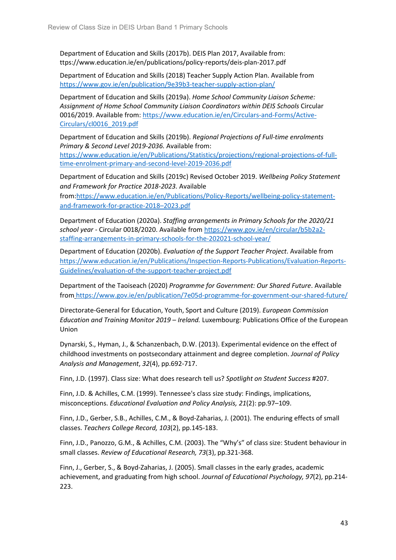Department of Education and Skills (2017b). DEIS Plan 2017, Available from: ttps://www.education.ie/en/publications/policy-reports/deis-plan-2017.pdf

Department of Education and Skills (2018) Teacher Supply Action Plan. Available from <https://www.gov.ie/en/publication/9e39b3-teacher-supply-action-plan/>

Department of Education and Skills (2019a). *Home School Community Liaison Scheme: Assignment of Home School Community Liaison Coordinators within DEIS Schools* Circular 0016/2019. Available from[: https://www.education.ie/en/Circulars-and-Forms/Active-](https://www.education.ie/en/Circulars-and-Forms/Active-Circulars/cl0016_2019.pdf)[Circulars/cl0016\\_2019.pdf](https://www.education.ie/en/Circulars-and-Forms/Active-Circulars/cl0016_2019.pdf)

Department of Education and Skills (2019b). *Regional Projections of Full-time enrolments Primary & Second Level 2019-2036.* Available from:

[https://www.education.ie/en/Publications/Statistics/projections/regional-projections-of-full](https://www.education.ie/en/Publications/Statistics/projections/regional-projections-of-full-time-enrolment-primary-and-second-level-2019-2036.pdf)[time-enrolment-primary-and-second-level-2019-2036.pdf](https://www.education.ie/en/Publications/Statistics/projections/regional-projections-of-full-time-enrolment-primary-and-second-level-2019-2036.pdf)

Department of Education and Skills (2019c) Revised October 2019. *Wellbeing Policy Statement and Framework for Practice 2018-2023.* Available

from[:https://www.education.ie/en/Publications/Policy-Reports/wellbeing-policy-statement](https://www.education.ie/en/Publications/Policy-Reports/wellbeing-policy-statement-and-framework-for-practice-2018%E2%80%932023.pdf)[and-framework-for-practice-2018–2023.pdf](https://www.education.ie/en/Publications/Policy-Reports/wellbeing-policy-statement-and-framework-for-practice-2018%E2%80%932023.pdf)

Department of Education (2020a). *Staffing arrangements in Primary Schools for the 2020/21 school year* - Circular 0018/2020. Available from [https://www.gov.ie/en/circular/b5b2a2](https://www.gov.ie/en/circular/b5b2a2-staffing-arrangements-in-primary-schools-for-the-202021-school-year/) [staffing-arrangements-in-primary-schools-for-the-202021-school-year/](https://www.gov.ie/en/circular/b5b2a2-staffing-arrangements-in-primary-schools-for-the-202021-school-year/)

Department of Education (2020b). *Evaluation of the Support Teacher Project*. Available from [https://www.education.ie/en/Publications/Inspection-Reports-Publications/Evaluation-Reports-](https://www.education.ie/en/Publications/Inspection-Reports-Publications/Evaluation-Reports-Guidelines/evaluation-of-the-support-teacher-project.pdf)[Guidelines/evaluation-of-the-support-teacher-project.pdf](https://www.education.ie/en/Publications/Inspection-Reports-Publications/Evaluation-Reports-Guidelines/evaluation-of-the-support-teacher-project.pdf)

Department of the Taoiseach (2020) *Programme for Government: Our Shared Future*. Available from <https://www.gov.ie/en/publication/7e05d-programme-for-government-our-shared-future/>

Directorate-General for Education, Youth, Sport and Culture (2019). *European Commission Education and Training Monitor 2019 – Ireland.* Luxembourg: Publications Office of the European Union

Dynarski, S., Hyman, J., & Schanzenbach, D.W. (2013). Experimental evidence on the effect of childhood investments on postsecondary attainment and degree completion. *Journal of Policy Analysis and Management*, *32*(4), pp.692-717.

Finn, J.D. (1997). Class size: What does research tell us? *Spotlight on Student Success* #207.

Finn, J.D. & Achilles, C.M. (1999). Tennessee's class size study: Findings, implications, misconceptions. *Educational Evaluation and Policy Analysis, 21*(2): pp.97–109.

Finn, J.D., Gerber, S.B., Achilles, C.M., & Boyd-Zaharias, J. (2001). The enduring effects of small classes. *Teachers College Record, 103*(2), pp.145-183.

Finn, J.D., Panozzo, G.M., & Achilles, C.M. (2003). The "Why's" of class size: Student behaviour in small classes. *Review of Educational Research, 73*(3), pp.321-368.

Finn, J., Gerber, S., & Boyd-Zaharias, J. (2005). Small classes in the early grades, academic achievement, and graduating from high school. *Journal of Educational Psychology, 97*(2), pp.214- 223.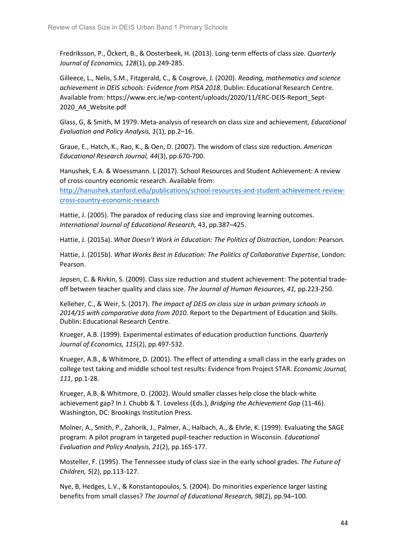Fredriksson, P., Öckert, B., & Oosterbeek, H. (2013). Long-term effects of class size. *Quarterly Journal of Economics, 128*(1), pp.249-285.

Gilleece, L., Nelis, S.M., Fitzgerald, C., & Cosgrove, J. (2020). *Reading, mathematics and science achievement in DEIS schools: Evidence from PISA 2018*. Dublin: Educational Research Centre. Available from: https://www.erc.ie/wp-content/uploads/2020/11/ERC-DEIS-Report\_Sept-2020\_A4\_Website.pdf

Glass, G, & Smith, M 1979. Meta-analysis of research on class size and achievement, *Educational Evaluation and Policy Analysis, 1*(1), pp.2–16.

Graue, E., Hatch, K., Rao, K., & Oen, D. (2007). The wisdom of class size reduction. *American Educational Research Journal, 44*(3), pp.670-700.

Hanushek, E.A. & Woessmann. L (2017). School Resources and Student Achievement: A review of cross-country economic research. Available from:

[http://hanushek.stanford.edu/publications/school-resources-and-student-achievement-review](http://hanushek.stanford.edu/publications/school-resources-and-student-achievement-review-cross-country-economic-research)[cross-country-economic-research](http://hanushek.stanford.edu/publications/school-resources-and-student-achievement-review-cross-country-economic-research)

Hattie, J. (2005). The paradox of reducing class size and improving learning outcomes. *International Journal of Educational Research,* 43, pp.387–425.

Hattie, J. (2015a). *What Doesn't Work in Education: The Politics of Distraction*, London: Pearson.

Hattie, J. (2015b). *What Works Best in Education: The Politics of Collaborative Expertise*, London: Pearson.

Jepsen, C. & Rivkin, S. (2009). Class size reduction and student achievement: The potential tradeoff between teacher quality and class size. *The Journal of Human Resources, 41,* pp.223-250.

Kelleher, C., & Weir, S. (2017). *The impact of DEIS on class size in urban primary schools in 2014/15 with comparative data from 2010.* Report to the Department of Education and Skills. Dublin: Educational Research Centre.

Krueger, A.B. (1999). Experimental estimates of education production functions. *Quarterly Journal of Economics, 115*(2), pp.497-532.

Krueger, A.B., & Whitmore, D. (2001). The effect of attending a small class in the early grades on college test taking and middle school test results: Evidence from Project STAR. *Economic Journal, 111*, pp.1-28.

Krueger, A.B. & Whitmore, D. (2002). Would smaller classes help close the black-white achievement gap? In J. Chubb & T. Loveless (Eds.), *Bridging the Achievement Gap* (11-46). Washington, DC: Brookings Institution Press.

Molner, A., Smith, P., Zahorik, J., Palmer, A., Halbach, A., & Ehrle, K. (1999). Evaluating the SAGE program: A pilot program in targeted pupil-teacher reduction in Wisconsin. *Educational Evaluation and Policy Analysis, 21*(2), pp.165-177.

Mosteller, F. (1995). The Tennessee study of class size in the early school grades. *The Future of Children, 5*(2), pp.113-127.

Nye, B, Hedges, L.V., & Konstantopoulos, S. (2004). Do minorities experience larger lasting benefits from small classes? *The Journal of Educational Research, 98*(2), pp.94–100.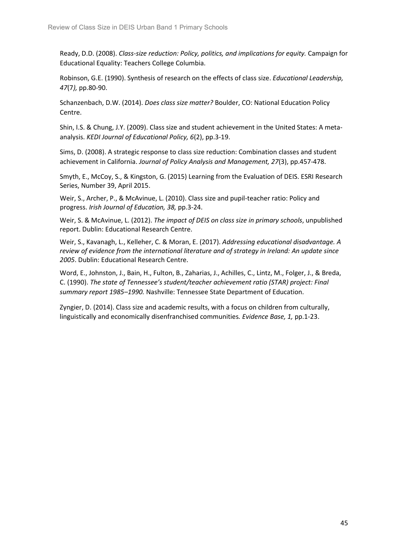Ready, D.D. (2008). *Class-size reduction: Policy, politics, and implications for equity.* Campaign for Educational Equality: Teachers College Columbia.

Robinson, G.E. (1990). Synthesis of research on the effects of class size. *Educational Leadership, 47*(7*),* pp.80-90.

Schanzenbach, D.W. (2014). *Does class size matter?* Boulder, CO: National Education Policy Centre.

Shin, I.S. & Chung, J.Y. (2009). Class size and student achievement in the United States: A metaanalysis. *KEDI Journal of Educational Policy, 6*(2), pp.3-19.

Sims, D. (2008). A strategic response to class size reduction: Combination classes and student achievement in California. *Journal of Policy Analysis and Management, 27*(3), pp.457-478.

Smyth, E., McCoy, S., & Kingston, G. (2015) Learning from the Evaluation of DEIS. ESRI Research Series, Number 39, April 2015.

Weir, S., Archer, P., & McAvinue, L. (2010). Class size and pupil-teacher ratio: Policy and progress. *Irish Journal of Education, 38,* pp.3-24.

Weir, S. & McAvinue, L. (2012). *The impact of DEIS on class size in primary schools*, unpublished report. Dublin: Educational Research Centre.

Weir, S., Kavanagh, L., Kelleher, C. & Moran, E. (2017). *Addressing educational disadvantage. A review of evidence from the international literature and of strategy in Ireland: An update since 2005*. Dublin: Educational Research Centre.

Word, E., Johnston, J., Bain, H., Fulton, B., Zaharias, J., Achilles, C., Lintz, M., Folger, J., & Breda, C. (1990). *The state of Tennessee's student/teacher achievement ratio (STAR) project: Final summary report 1985–1990.* Nashville: Tennessee State Department of Education.

Zyngier, D. (2014). Class size and academic results, with a focus on children from culturally, linguistically and economically disenfranchised communities*. Evidence Base, 1,* pp.1-23.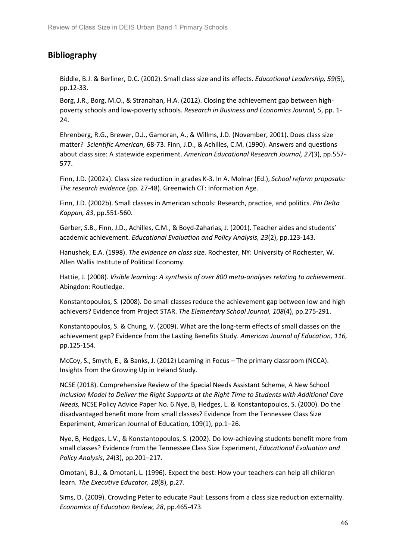### <span id="page-45-0"></span>**Bibliography**

Biddle, B.J. & Berliner, D.C. (2002). Small class size and its effects. *Educational Leadership, 59*(5), pp.12-33.

Borg, J.R., Borg, M.O., & Stranahan, H.A. (2012). Closing the achievement gap between highpoverty schools and low-poverty schools. *Research in Business and Economics Journal, 5*, pp. 1- 24.

Ehrenberg, R.G., Brewer, D.J., Gamoran, A., & Willms, J.D. (November, 2001). Does class size matter? *Scientific American*, 68-73. Finn, J.D., & Achilles, C.M. (1990). Answers and questions about class size: A statewide experiment. *American Educational Research Journal, 27*(3), pp.557- 577.

Finn, J.D. (2002a). Class size reduction in grades K-3. In A. Molnar (Ed.), *School reform proposals: The research evidence* (pp. 27-48). Greenwich CT: Information Age.

Finn, J.D. (2002b). Small classes in American schools: Research, practice, and politics. *Phi Delta Kappan, 83*, pp.551-560.

Gerber, S.B., Finn, J.D., Achilles, C.M., & Boyd-Zaharias, J. (2001). Teacher aides and students' academic achievement. *Educational Evaluation and Policy Analysis, 23*(2), pp.123-143.

Hanushek, E.A. (1998). *The evidence on class size.* Rochester, NY: University of Rochester, W. Allen Wallis Institute of Political Economy.

Hattie, J. (2008). *Visible learning: A synthesis of over 800 meta-analyses relating to achievement*. Abingdon: Routledge.

Konstantopoulos, S. (2008). Do small classes reduce the achievement gap between low and high achievers? Evidence from Project STAR. *The Elementary School Journal, 108*(4), pp.275-291.

Konstantopoulos, S. & Chung, V. (2009). What are the long-term effects of small classes on the achievement gap? Evidence from the Lasting Benefits Study. *American Journal of Education, 116,* pp.125-154.

McCoy, S., Smyth, E., & Banks, J. (2012) Learning in Focus – The primary classroom (NCCA). Insights from the Growing Up in Ireland Study.

NCSE (2018). Comprehensive Review of the Special Needs Assistant Scheme, A New School *Inclusion Model to Deliver the Right Supports at the Right Time to Students with Additional Care Needs,* NCSE Policy Advice Paper No. 6.Nye, B, Hedges, L. & Konstantopoulos, S. (2000). Do the disadvantaged benefit more from small classes? Evidence from the Tennessee Class Size Experiment, American Journal of Education, 109(1), pp.1–26.

Nye, B, Hedges, L.V., & Konstantopoulos, S. (2002). Do low-achieving students benefit more from small classes? Evidence from the Tennessee Class Size Experiment, *Educational Evaluation and Policy Analysis*, *24*(3), pp.201–217.

Omotani, B.J., & Omotani, L. (1996). Expect the best: How your teachers can help all children learn. *The Executive Educator, 18*(8), p.27.

Sims, D. (2009). Crowding Peter to educate Paul: Lessons from a class size reduction externality. *Economics of Education Review, 28*, pp.465-473.